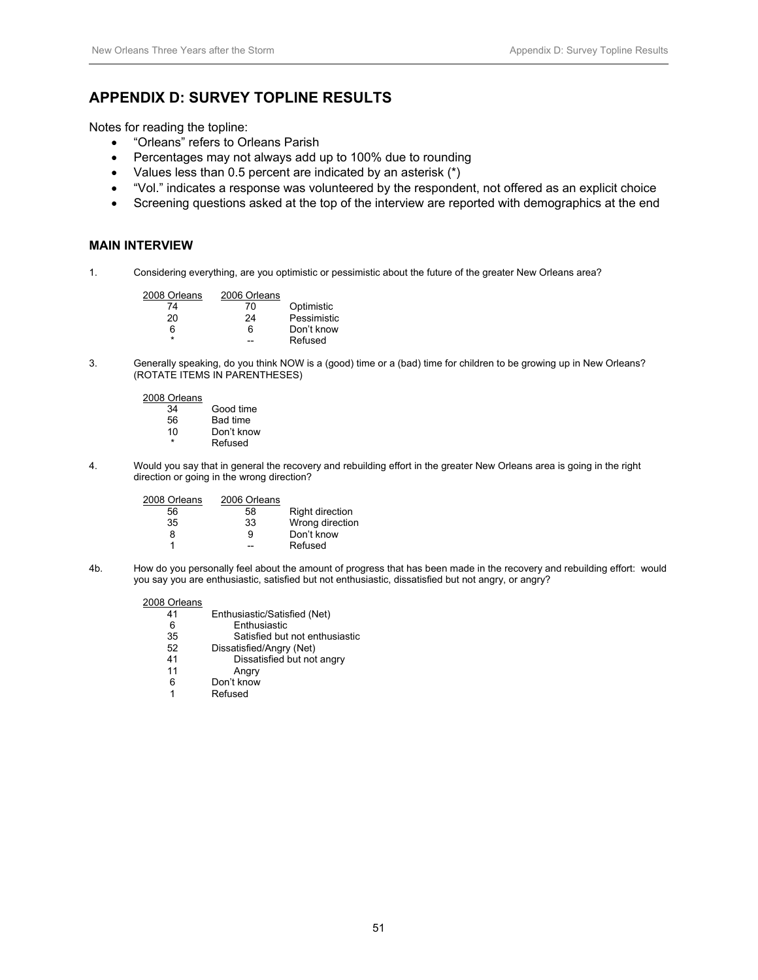# **APPENDIX D: SURVEY TOPLINE RESULTS**

Notes for reading the topline:

- "Orleans" refers to Orleans Parish
- Percentages may not always add up to 100% due to rounding
- Values less than 0.5 percent are indicated by an asterisk (\*)
- "Vol." indicates a response was volunteered by the respondent, not offered as an explicit choice
- Screening questions asked at the top of the interview are reported with demographics at the end

# **MAIN INTERVIEW**

1. Considering everything, are you optimistic or pessimistic about the future of the greater New Orleans area?

| 2008 Orleans | 2006 Orleans |             |
|--------------|--------------|-------------|
| 74           | 70           | Optimistic  |
| 20           | 24           | Pessimistic |
| հ            | 6            | Don't know  |
| ÷            |              | Refused     |

3. Generally speaking, do you think NOW is a (good) time or a (bad) time for children to be growing up in New Orleans? (ROTATE ITEMS IN PARENTHESES)

2008 Orleans

| 34 | Good time       |
|----|-----------------|
| 56 | <b>Bad time</b> |
| 10 | Don't know      |
| ÷  | Refused         |

4. Would you say that in general the recovery and rebuilding effort in the greater New Orleans area is going in the right direction or going in the wrong direction?

| 2006 Orleans |                 |
|--------------|-----------------|
| 58           | Right direction |
| 33           | Wrong direction |
| 9            | Don't know      |
|              | Refused         |
|              |                 |

4b. How do you personally feel about the amount of progress that has been made in the recovery and rebuilding effort: would you say you are enthusiastic, satisfied but not enthusiastic, dissatisfied but not angry, or angry?

| Enthusiastic/Satisfied (Net)   |
|--------------------------------|
| Enthusiastic                   |
| Satisfied but not enthusiastic |
| Dissatisfied/Angry (Net)       |
| Dissatisfied but not angry     |
| Angry                          |
| Don't know                     |
| Refused                        |
|                                |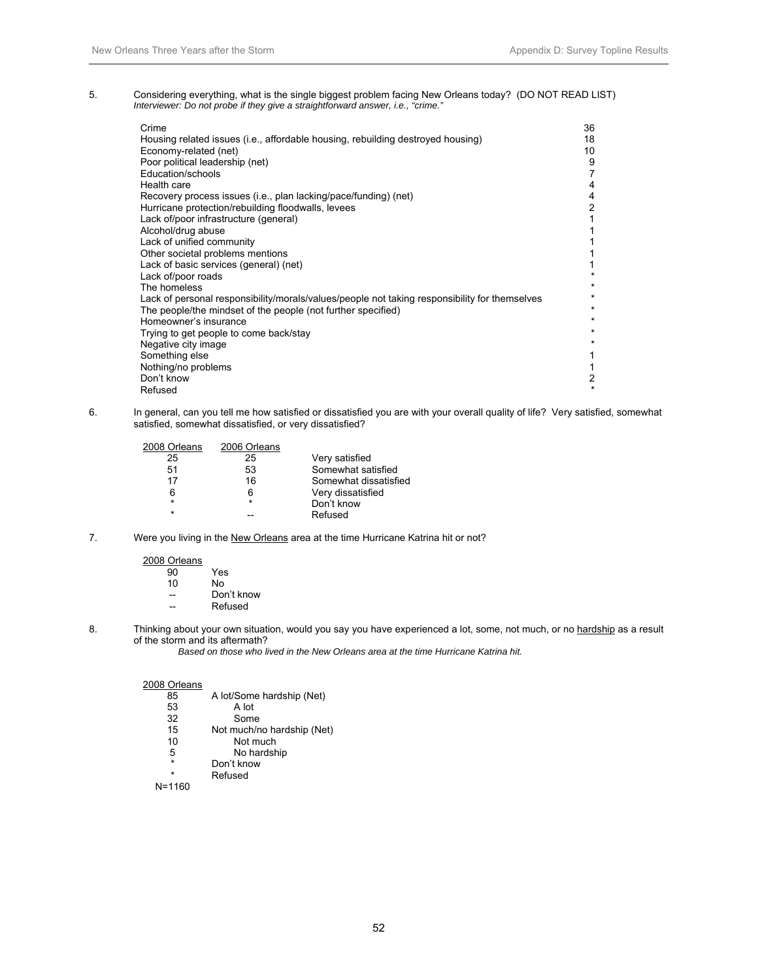5. Considering everything, what is the single biggest problem facing New Orleans today? (DO NOT READ LIST)  *Interviewer: Do not probe if they give a straightforward answer, i.e., "crime."* 

| Crime                                                                                         | 36             |
|-----------------------------------------------------------------------------------------------|----------------|
| Housing related issues (i.e., affordable housing, rebuilding destroyed housing)               | 18             |
| Economy-related (net)                                                                         | 10             |
| Poor political leadership (net)                                                               | 9              |
| Education/schools                                                                             | 7              |
| Health care                                                                                   | 4              |
| Recovery process issues (i.e., plan lacking/pace/funding) (net)                               | 4              |
| Hurricane protection/rebuilding floodwalls, levees                                            | $\overline{2}$ |
| Lack of/poor infrastructure (general)                                                         |                |
| Alcohol/drug abuse                                                                            |                |
| Lack of unified community                                                                     |                |
| Other societal problems mentions                                                              |                |
| Lack of basic services (general) (net)                                                        |                |
| Lack of/poor roads                                                                            |                |
| The homeless                                                                                  | $\star$        |
| Lack of personal responsibility/morals/values/people not taking responsibility for themselves | $\star$        |
| The people/the mindset of the people (not further specified)                                  | $\star$        |
| Homeowner's insurance                                                                         | $\star$        |
| Trying to get people to come back/stay                                                        | $\star$        |
| Negative city image                                                                           | $\star$        |
| Something else                                                                                |                |
| Nothing/no problems                                                                           |                |
| Don't know                                                                                    | 2              |
| Refused                                                                                       | $\star$        |

6. In general, can you tell me how satisfied or dissatisfied you are with your overall quality of life? Very satisfied, somewhat satisfied, somewhat dissatisfied, or very dissatisfied?

| 2008 Orleans | 2006 Orleans |                       |
|--------------|--------------|-----------------------|
| 25           | 25           | Very satisfied        |
| 51           | 53           | Somewhat satisfied    |
| 17           | 16           | Somewhat dissatisfied |
| 6            | 6            | Very dissatisfied     |
| $\star$      | $\star$      | Don't know            |
| $\star$      |              | Refused               |

7. Were you living in the New Orleans area at the time Hurricane Katrina hit or not?

| 2008 Orleans |            |
|--------------|------------|
| 90           | Yes        |
| 10           | N٥         |
|              | Don't know |
|              | Refused    |

- 
- 8. Thinking about your own situation, would you say you have experienced a lot, some, not much, or no hardship as a result of the storm and its aftermath?

 *Based on those who lived in the New Orleans area at the time Hurricane Katrina hit.* 

| 85      | A lot/Some hardship (Net)  |
|---------|----------------------------|
| 53      | A lot                      |
| 32      | Some                       |
| 15      | Not much/no hardship (Net) |
| 10      | Not much                   |
| 5       | No hardship                |
| $\star$ | Don't know                 |
| ÷       | Refused                    |
| N=1160  |                            |
|         |                            |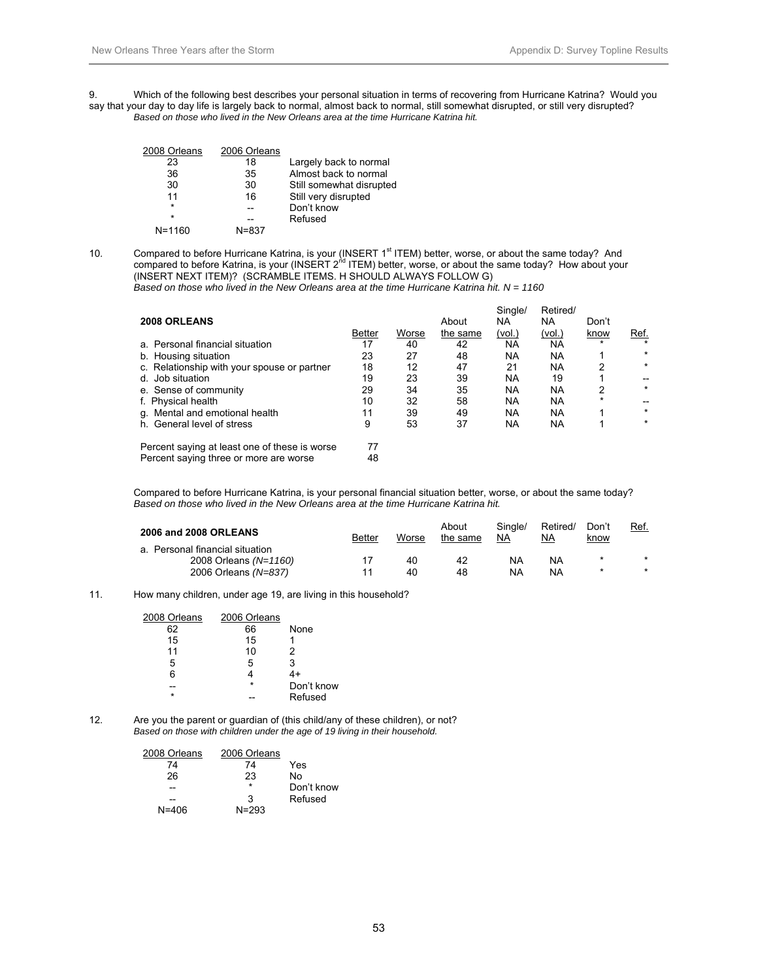9. Which of the following best describes your personal situation in terms of recovering from Hurricane Katrina? Would you say that your day to day life is largely back to normal, almost back to normal, still somewhat disrupted, or still very disrupted? *Based on those who lived in the New Orleans area at the time Hurricane Katrina hit.* 

| 2008 Orleans | 2006 Orleans |                          |
|--------------|--------------|--------------------------|
| 23           | 18           | Largely back to normal   |
| 36           | 35           | Almost back to normal    |
| 30           | 30           | Still somewhat disrupted |
| 11           | 16           | Still very disrupted     |
| $\star$      |              | Don't know               |
| $\star$      |              | Refused                  |
| $N = 1160$   | $N = 8.37$   |                          |
|              |              |                          |

10. Compared to before Hurricane Katrina, is your (INSERT 1<sup>st</sup> ITEM) better, worse, or about the same today? And compared to before Katrina, is your (INSERT 2<sup>nd</sup> ITEM) better, worse, or about the same today? How about your (INSERT NEXT ITEM)? (SCRAMBLE ITEMS. H SHOULD ALWAYS FOLLOW G)  *Based on those who lived in the New Orleans area at the time Hurricane Katrina hit. N = 1160* 

|                                                                                         |               |       |          | Single/   | Retired/  |         |         |
|-----------------------------------------------------------------------------------------|---------------|-------|----------|-----------|-----------|---------|---------|
| 2008 ORLEANS                                                                            |               |       | About    | NA        | NA        | Don't   |         |
|                                                                                         | <b>Better</b> | Worse | the same | (vol.)    | (vol.)    | know    | Ref.    |
| a. Personal financial situation                                                         | 17            | 40    | 42       | <b>NA</b> | <b>NA</b> | $\star$ | $\star$ |
| b. Housing situation                                                                    | 23            | 27    | 48       | <b>NA</b> | NA        |         | $\star$ |
| c. Relationship with your spouse or partner                                             | 18            | 12    | 47       | 21        | <b>NA</b> | 2       | $\star$ |
| d. Job situation                                                                        | 19            | 23    | 39       | <b>NA</b> | 19        |         |         |
| e. Sense of community                                                                   | 29            | 34    | 35       | <b>NA</b> | <b>NA</b> | 2       | $\star$ |
| f. Physical health                                                                      | 10            | 32    | 58       | <b>NA</b> | <b>NA</b> | $\star$ |         |
| g. Mental and emotional health                                                          | 11            | 39    | 49       | <b>NA</b> | <b>NA</b> |         | $\star$ |
| h. General level of stress                                                              | 9             | 53    | 37       | <b>NA</b> | <b>NA</b> |         | $\star$ |
| Percent saying at least one of these is worse<br>Percent saying three or more are worse | 77<br>48      |       |          |           |           |         |         |

Compared to before Hurricane Katrina, is your personal financial situation better, worse, or about the same today? *Based on those who lived in the New Orleans area at the time Hurricane Katrina hit.* 

| 2006 and 2008 ORLEANS           | <b>Better</b> | Worse | About<br>the same | Single/<br>NA | Retired/<br>NА | Don't<br><u>know</u> | Ref.    |
|---------------------------------|---------------|-------|-------------------|---------------|----------------|----------------------|---------|
| a. Personal financial situation |               |       |                   |               |                |                      |         |
| 2008 Orleans (N=1160)           |               | 40    | 42                | NA            | NA             | $\star$              | $\star$ |
| 2006 Orleans (N=837)            | 11            | 40    | 48                | NA            | NA             |                      | $\star$ |

#### 11. How many children, under age 19, are living in this household?

| 2008 Orleans | 2006 Orleans |            |
|--------------|--------------|------------|
| 62           | 66           | None       |
| 15           | 15           |            |
| 11           | 10           | 2          |
| 5            | 5            | 3          |
| 6            |              | 4+         |
|              | $\star$      | Don't know |
| ÷            |              | Refused    |

12. Are you the parent or guardian of (this child/any of these children), or not?  *Based on those with children under the age of 19 living in their household.* 

| 2008 Orleans | 2006 Orleans |            |
|--------------|--------------|------------|
| 74           | 74           | Yes        |
| 26           | 23           | No         |
|              | $\star$      | Don't know |
|              | 3            | Refused    |
| N=406        | $N = 293$    |            |
|              |              |            |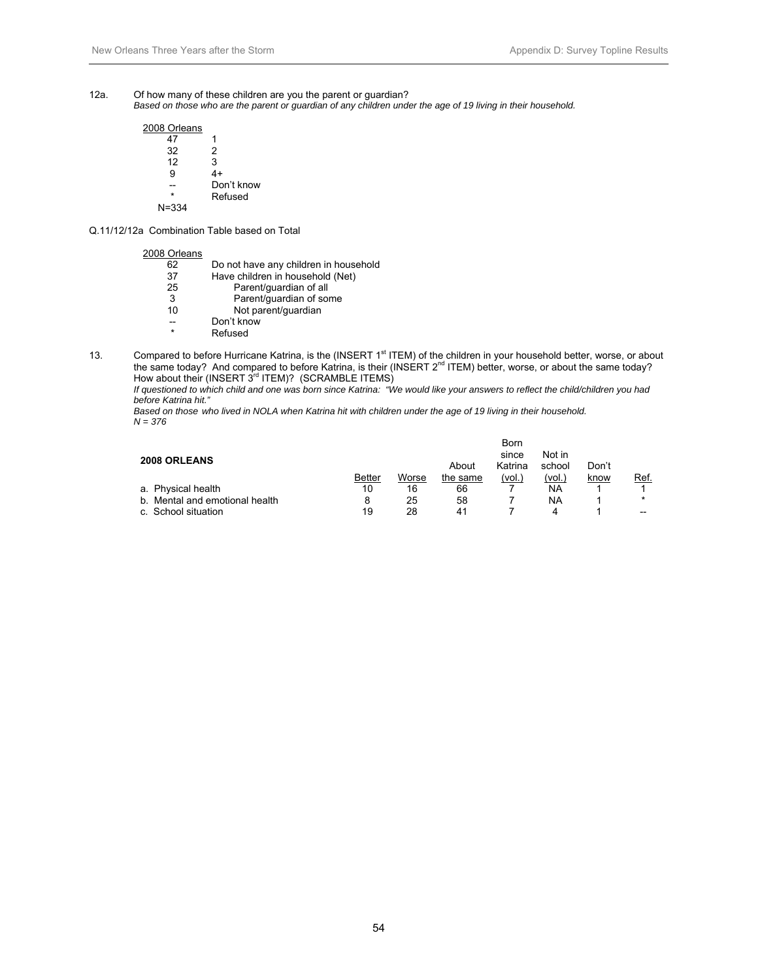- 12a. Of how many of these children are you the parent or guardian?
	- *Based on those who are the parent or guardian of any children under the age of 19 living in their household.*

| 2008 Orleans |            |
|--------------|------------|
| 47           | 1          |
| 32           | 2          |
| 12           | 3          |
| Й            | 4+         |
|              | Don't know |
| ÷            | Refused    |
| $N = 334$    |            |

Q.11/12/12a Combination Table based on Total

### 2008 Orleans

| Do not have any children in household |
|---------------------------------------|
|                                       |
|                                       |
|                                       |
|                                       |
|                                       |
|                                       |
|                                       |
|                                       |

13. Compared to before Hurricane Katrina, is the (INSERT 1<sup>st</sup> ITEM) of the children in your household better, worse, or about the same today? And compared to before Katrina, is their (INSERT 2<sup>nd</sup> ITEM) better, worse, or about the same today? How about their (INSERT  $3^{rd}$  ITEM)? (SCRAMBLE ITEMS)

*If questioned to which child and one was born since Katrina: "We would like your answers to reflect the child/children you had before Katrina hit."* 

*Based on those who lived in NOLA when Katrina hit with children under the age of 19 living in their household. N = 376* 

| <b>2008 ORLEANS</b>            |               |       | About    | Born<br>since<br>Katrina | Not in<br>school | Don't |         |
|--------------------------------|---------------|-------|----------|--------------------------|------------------|-------|---------|
|                                | <b>Better</b> | Worse | the same | (vol.,                   | (vol.)           | know  | Ref.    |
| a. Physical health             | 10            | 16    | 66       |                          | NA               |       |         |
| b. Mental and emotional health |               | 25    | 58       |                          | NA               |       | $\star$ |
| c. School situation            | 19            | 28    | 41       |                          | 4                |       | $- -$   |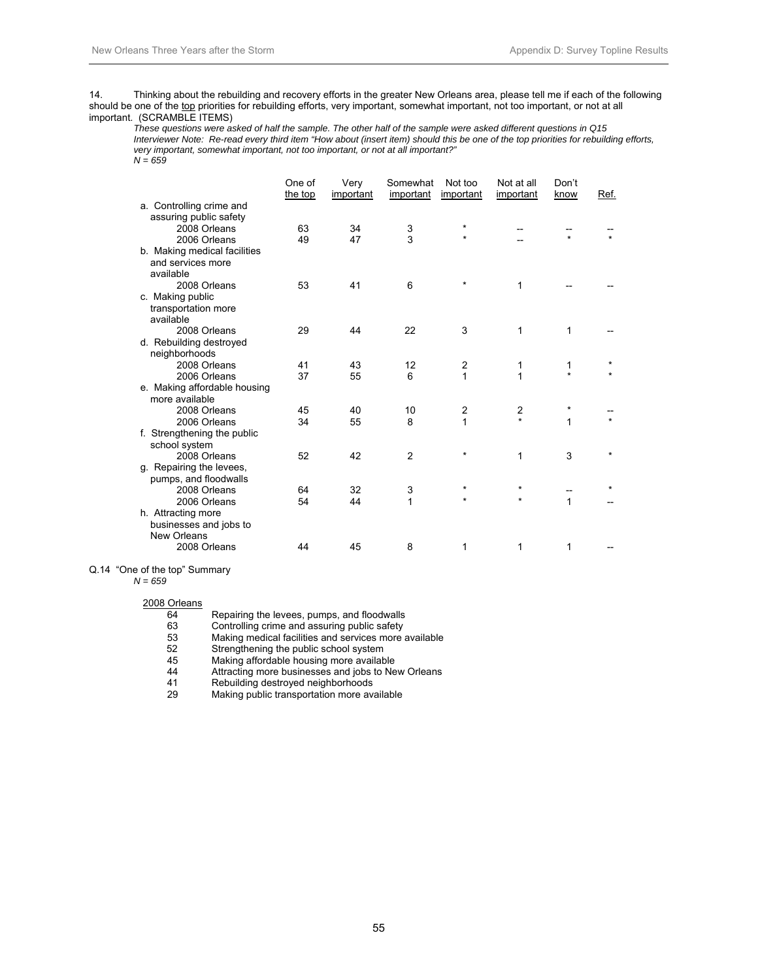14. Thinking about the rebuilding and recovery efforts in the greater New Orleans area, please tell me if each of the following should be one of the top priorities for rebuilding efforts, very important, somewhat important, not too important, or not at all important. (SCRAMBLE ITEMS)

 *These questions were asked of half the sample. The other half of the sample were asked different questions in Q15 Interviewer Note: Re-read every third item "How about (insert item) should this be one of the top priorities for rebuilding efforts, very important, somewhat important, not too important, or not at all important?" N = 659* 

|                              | One of  | Very      | Somewhat       | Not too   | Not at all     | Don't   |         |
|------------------------------|---------|-----------|----------------|-----------|----------------|---------|---------|
|                              | the top | important | important      | important | important      | know    | Ref.    |
| a. Controlling crime and     |         |           |                |           |                |         |         |
| assuring public safety       |         |           |                |           |                |         |         |
| 2008 Orleans                 | 63      | 34        | 3              | *         |                |         |         |
| 2006 Orleans                 | 49      | 47        | 3              | $\star$   |                | $\star$ |         |
| b. Making medical facilities |         |           |                |           |                |         |         |
| and services more            |         |           |                |           |                |         |         |
| available                    |         |           |                |           |                |         |         |
| 2008 Orleans                 | 53      | 41        | 6              | $\star$   | 1              |         |         |
| c. Making public             |         |           |                |           |                |         |         |
| transportation more          |         |           |                |           |                |         |         |
| available                    |         |           |                |           |                |         |         |
| 2008 Orleans                 | 29      | 44        | 22             | 3         | 1              | 1       |         |
| d. Rebuilding destroyed      |         |           |                |           |                |         |         |
| neighborhoods                |         |           |                |           |                |         |         |
| 2008 Orleans                 | 41      | 43        | 12             | 2         | 1              | 1       |         |
| 2006 Orleans                 | 37      | 55        | 6              | 1         | 1              | $\star$ |         |
| e. Making affordable housing |         |           |                |           |                |         |         |
| more available               |         |           |                |           |                |         |         |
| 2008 Orleans                 | 45      | 40        | 10             | 2         | $\overline{2}$ | $\star$ |         |
| 2006 Orleans                 | 34      | 55        | 8              | 1         | ÷              | 1       | $\star$ |
| f. Strengthening the public  |         |           |                |           |                |         |         |
| school system                |         |           |                |           |                |         |         |
| 2008 Orleans                 | 52      | 42        | $\overline{2}$ | $\star$   | 1              | 3       | $\star$ |
| g. Repairing the levees,     |         |           |                |           |                |         |         |
| pumps, and floodwalls        |         |           |                |           |                |         |         |
| 2008 Orleans                 | 64      | 32        | 3              | $\star$   | $\star$        |         |         |
| 2006 Orleans                 | 54      | 44        | 1              | $\star$   | $\star$        | 1       |         |
| h. Attracting more           |         |           |                |           |                |         |         |
| businesses and jobs to       |         |           |                |           |                |         |         |
| New Orleans                  |         |           |                |           |                |         |         |
| 2008 Orleans                 | 44      | 45        | 8              | 1         | 1              | 1       |         |
|                              |         |           |                |           |                |         |         |

Q.14 "One of the top" Summary

#### *N = 659*

#### 2008 Orleans

| 64 | Repairing the levees, pumps, and floodwalls           |
|----|-------------------------------------------------------|
| 63 | Controlling crime and assuring public safety          |
| 53 | Making medical facilities and services more available |
| 52 | Strengthening the public school system                |
| 45 | Making affordable housing more available              |
| 44 | Attracting more businesses and jobs to New Orleans    |
| 41 | Rebuilding destroyed neighborhoods                    |

29 Making public transportation more available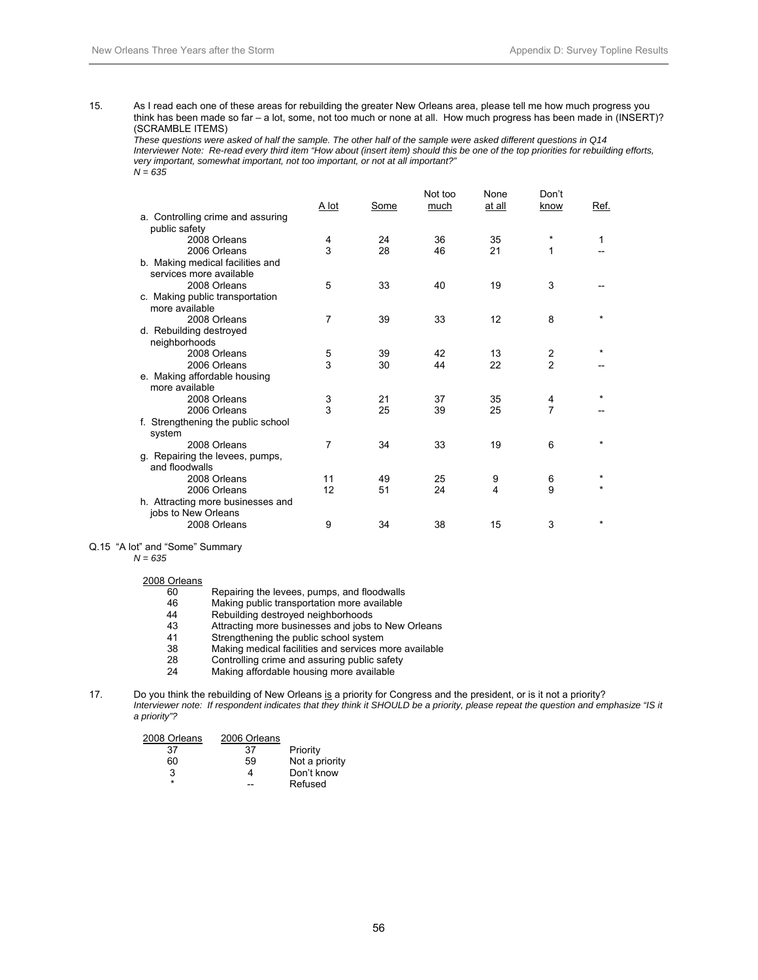15. As I read each one of these areas for rebuilding the greater New Orleans area, please tell me how much progress you think has been made so far – a lot, some, not too much or none at all. How much progress has been made in (INSERT)? (SCRAMBLE ITEMS)

*These questions were asked of half the sample. The other half of the sample were asked different questions in Q14 Interviewer Note: Re-read every third item "How about (insert item) should this be one of the top priorities for rebuilding efforts, very important, somewhat important, not too important, or not at all important?"*   $N = 635$ 

|                                                          | A lot | Some | Not too<br>much | None<br>at all | Don't<br>know  | Ref.    |
|----------------------------------------------------------|-------|------|-----------------|----------------|----------------|---------|
| a. Controlling crime and assuring                        |       |      |                 |                |                |         |
| public safety                                            |       |      |                 |                |                |         |
| 2008 Orleans                                             | 4     | 24   | 36              | 35             | $^\star$       | 1       |
| 2006 Orleans                                             | 3     | 28   | 46              | 21             | 1              |         |
| b. Making medical facilities and                         |       |      |                 |                |                |         |
| services more available                                  |       |      |                 |                |                |         |
| 2008 Orleans                                             | 5     | 33   | 40              | 19             | 3              |         |
| c. Making public transportation                          |       |      |                 |                |                |         |
| more available                                           |       |      |                 |                |                |         |
| 2008 Orleans                                             | 7     | 39   | 33              | 12             | 8              |         |
| d. Rebuilding destroyed                                  |       |      |                 |                |                |         |
| neighborhoods                                            |       |      |                 |                |                |         |
| 2008 Orleans                                             | 5     | 39   | 42              | 13             | 2              |         |
| 2006 Orleans                                             | 3     | 30   | 44              | 22             | $\mathfrak{p}$ |         |
| e. Making affordable housing                             |       |      |                 |                |                |         |
| more available                                           |       |      |                 |                |                |         |
| 2008 Orleans                                             | 3     | 21   | 37              | 35             | 4              |         |
| 2006 Orleans                                             | 3     | 25   | 39              | 25             | 7              |         |
| f. Strengthening the public school<br>system             |       |      |                 |                |                |         |
| 2008 Orleans                                             | 7     | 34   | 33              | 19             | 6              |         |
| g. Repairing the levees, pumps,<br>and floodwalls        |       |      |                 |                |                |         |
| 2008 Orleans                                             | 11    | 49   | 25              | 9              | 6              |         |
| 2006 Orleans                                             | 12    | 51   | 24              | 4              | 9              |         |
| h. Attracting more businesses and<br>jobs to New Orleans |       |      |                 |                |                |         |
| 2008 Orleans                                             | 9     | 34   | 38              | 15             | 3              | $\star$ |
|                                                          |       |      |                 |                |                |         |

Q.15 "A lot" and "Some" Summary

 *N = 635* 

2008 Orleans

| 60 | Repairing the levees, pumps, and floodwalls |
|----|---------------------------------------------|
|----|---------------------------------------------|

- 46 Making public transportation more available<br>44 Rebuilding destroyed neighborhoods
- 44 Rebuilding destroyed neighborhoods<br>43 Attracting more businesses and iobs
- 43 Attracting more businesses and jobs to New Orleans<br>41 Strengthening the public school system
- 41 Strengthening the public school system
- 38 Making medical facilities and services more available
- 28 Controlling crime and assuring public safety<br>24 Making affordable housing more available
- Making affordable housing more available

#### 17. Do you think the rebuilding of New Orleans is a priority for Congress and the president, or is it not a priority? *Interviewer note: If respondent indicates that they think it SHOULD be a priority, please repeat the question and emphasize "IS it a priority"?*

| 2008 Orleans | 2006 Orleans |                |
|--------------|--------------|----------------|
| 37           | 37           | Priority       |
| 60           | 59           | Not a priority |
| 3            | 4            | Don't know     |
| ÷            |              | Refused        |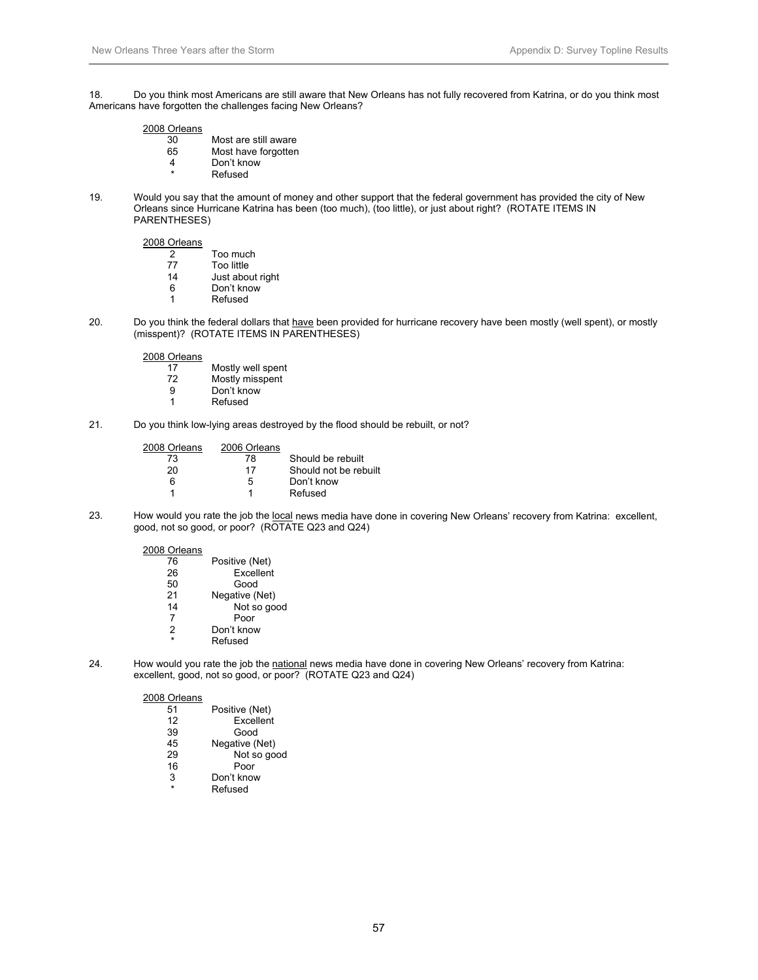18. Do you think most Americans are still aware that New Orleans has not fully recovered from Katrina, or do you think most Americans have forgotten the challenges facing New Orleans?

#### 2008 Orleans

| 30 | Most are still aware |
|----|----------------------|
| 65 | Most have forgotten  |

- 4 Don't know
- **Refused**
- 19. Would you say that the amount of money and other support that the federal government has provided the city of New Orleans since Hurricane Katrina has been (too much), (too little), or just about right? (ROTATE ITEMS IN PARENTHESES)

2008 Orleans

| 2 | Too much |
|---|----------|
|   |          |

- 77 Too little
- 14 Just about right<br>6 Don't know
- Don't know
- 1 Refused
- 20. Do you think the federal dollars that have been provided for hurricane recovery have been mostly (well spent), or mostly (misspent)? (ROTATE ITEMS IN PARENTHESES)

2008 Orleans

- 17 Mostly well spent<br>
22 Mostly misspent 72 Mostly misspent<br>9 Don't know
- 9 Don't know<br>1 Refused
- **Refused**
- 21. Do you think low-lying areas destroyed by the flood should be rebuilt, or not?

| 2008 Orleans | 2006 Orleans |                       |
|--------------|--------------|-----------------------|
| 73.          | 78           | Should be rebuilt     |
| 20           | 17           | Should not be rebuilt |
| հ            | 5            | Don't know            |
|              |              | Refused               |

23. How would you rate the job the local news media have done in covering New Orleans' recovery from Katrina: excellent, good, not so good, or poor? (ROTATE Q23 and Q24)

2008 Orleans

| 76 | Positive (Net) |
|----|----------------|
| 26 | Excellent      |
| 50 | Good           |
| 21 | Negative (Net) |
| 14 | Not so good    |
| 7  | Poor           |
| 2  | Don't know     |
| ÷  | Refused        |
|    |                |

24. How would you rate the job the national news media have done in covering New Orleans' recovery from Katrina: excellent, good, not so good, or poor? (ROTATE Q23 and Q24)

| 51 | Positive (Net) |
|----|----------------|
| 12 | Excellent      |
| 39 | Good           |
| 45 | Negative (Net) |
| 29 | Not so good    |
| 16 | Poor           |
| 3  | Don't know     |
| ÷  | Refused        |
|    |                |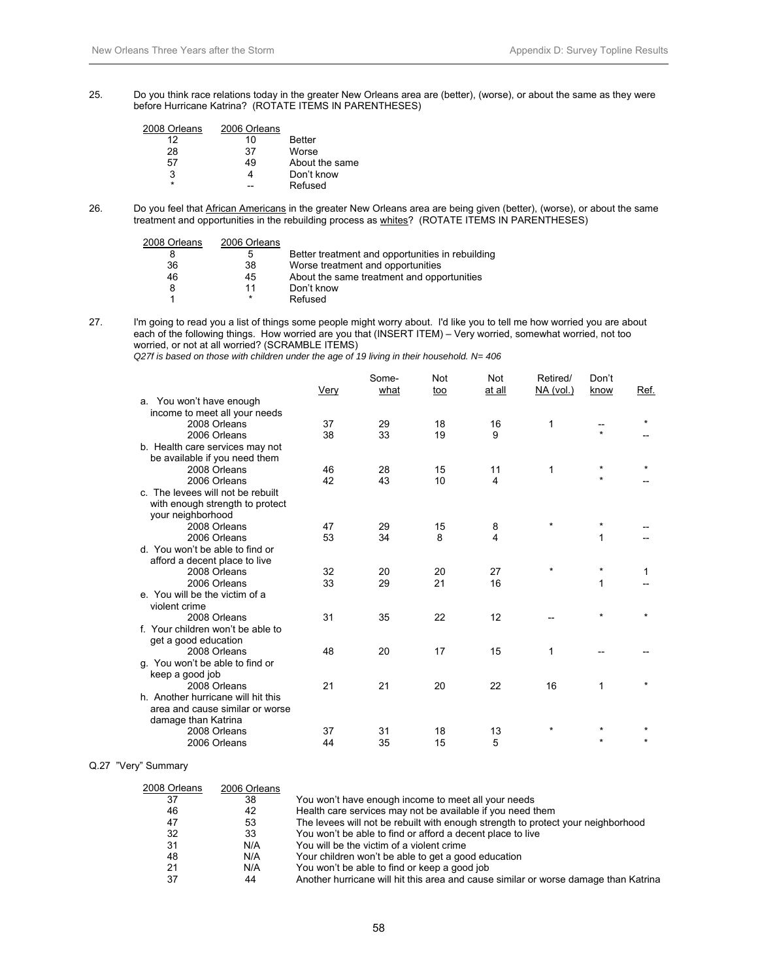25. Do you think race relations today in the greater New Orleans area are (better), (worse), or about the same as they were before Hurricane Katrina? (ROTATE ITEMS IN PARENTHESES)

| 2008 Orleans | 2006 Orleans |                |
|--------------|--------------|----------------|
| 12           | 10           | <b>Better</b>  |
| 28           | 37           | Worse          |
| 57           | 49           | About the same |
| 3            |              | Don't know     |
| ÷            |              | Refused        |

26. Do you feel that African Americans in the greater New Orleans area are being given (better), (worse), or about the same treatment and opportunities in the rebuilding process as whites? (ROTATE ITEMS IN PARENTHESES)

| 2008 Orleans | 2006 Orleans |                                                  |
|--------------|--------------|--------------------------------------------------|
| 8            | 5            | Better treatment and opportunities in rebuilding |
| 36           | 38           | Worse treatment and opportunities                |
| 46           | 45           | About the same treatment and opportunities       |
| 8            | 11           | Don't know                                       |
|              | $\star$      | Refused                                          |
|              |              |                                                  |

27. I'm going to read you a list of things some people might worry about. I'd like you to tell me how worried you are about each of the following things. How worried are you that (INSERT ITEM) – Very worried, somewhat worried, not too worried, or not at all worried? (SCRAMBLE ITEMS)

 *Q27f is based on those with children under the age of 19 living in their household. N= 406* 

|                                    | Very | Some-<br>what | Not<br>too | Not<br>at all | Retired/<br>NA (vol.) | Don't<br>know | Ref.    |
|------------------------------------|------|---------------|------------|---------------|-----------------------|---------------|---------|
| a. You won't have enough           |      |               |            |               |                       |               |         |
| income to meet all your needs      |      |               |            |               |                       |               |         |
| 2008 Orleans                       | 37   | 29            | 18         | 16            | 1                     |               |         |
| 2006 Orleans                       | 38   | 33            | 19         | 9             |                       | $\star$       |         |
| b. Health care services may not    |      |               |            |               |                       |               |         |
| be available if you need them      |      |               |            |               |                       |               |         |
| 2008 Orleans                       | 46   | 28            | 15         | 11            | 1                     | $\star$       | $\star$ |
| 2006 Orleans                       | 42   | 43            | 10         | 4             |                       | $\star$       |         |
| c. The levees will not be rebuilt  |      |               |            |               |                       |               |         |
| with enough strength to protect    |      |               |            |               |                       |               |         |
| your neighborhood                  |      |               |            |               |                       |               |         |
| 2008 Orleans                       | 47   | 29            | 15         | 8             | $\star$               | $\star$       |         |
| 2006 Orleans                       | 53   | 34            | 8          | 4             |                       | 1             |         |
| d. You won't be able to find or    |      |               |            |               |                       |               |         |
| afford a decent place to live      |      |               |            |               |                       |               |         |
| 2008 Orleans                       | 32   | 20            | 20         | 27            | $\star$               | $\star$       | 1       |
| 2006 Orleans                       | 33   | 29            | 21         | 16            |                       | 1             |         |
| e. You will be the victim of a     |      |               |            |               |                       |               |         |
| violent crime                      |      |               |            |               |                       |               |         |
| 2008 Orleans                       | 31   | 35            | 22         | 12            |                       | $\star$       | $\star$ |
| f. Your children won't be able to  |      |               |            |               |                       |               |         |
| get a good education               |      |               |            |               |                       |               |         |
| 2008 Orleans                       | 48   | 20            | 17         | 15            | 1                     |               |         |
| q. You won't be able to find or    |      |               |            |               |                       |               |         |
| keep a good job                    |      |               |            |               |                       |               |         |
| 2008 Orleans                       | 21   | 21            | 20         | 22            | 16                    | 1             |         |
| h. Another hurricane will hit this |      |               |            |               |                       |               |         |
| area and cause similar or worse    |      |               |            |               |                       |               |         |
| damage than Katrina                |      |               |            |               |                       |               |         |
| 2008 Orleans                       | 37   | 31            | 18         | 13            | $\star$               |               |         |
| 2006 Orleans                       | 44   | 35            | 15         | 5             |                       |               | $\star$ |
|                                    |      |               |            |               |                       |               |         |

Q.27 "Very" Summary

| 2008 Orleans | 2006 Orleans |                                                                                     |
|--------------|--------------|-------------------------------------------------------------------------------------|
| 37           | 38           | You won't have enough income to meet all your needs                                 |
| 46           | 42           | Health care services may not be available if you need them                          |
| 47           | 53           | The levees will not be rebuilt with enough strength to protect your neighborhood    |
| 32           | 33           | You won't be able to find or afford a decent place to live                          |
| 31           | N/A          | You will be the victim of a violent crime                                           |
| 48           | N/A          | Your children won't be able to get a good education                                 |
| 21           | N/A          | You won't be able to find or keep a good job                                        |
| 37           | 44           | Another hurricane will hit this area and cause similar or worse damage than Katrina |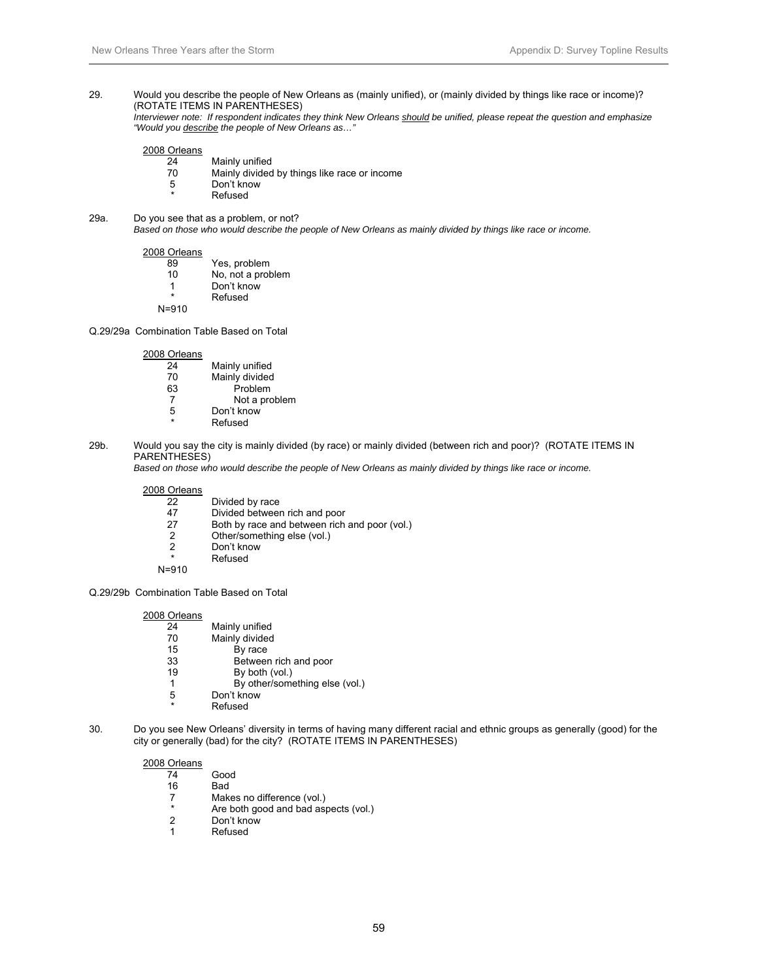#### 29. Would you describe the people of New Orleans as (mainly unified), or (mainly divided by things like race or income)? (ROTATE ITEMS IN PARENTHESES)

 *Interviewer note: If respondent indicates they think New Orleans should be unified, please repeat the question and emphasize "Would you describe the people of New Orleans as…"* 

#### 2008 Orleans

- 24 Mainly unified
- 70 Mainly divided by things like race or income<br>5 Don't know
	- Don't know
	- **Refused**
- 29a. Do you see that as a problem, or not?

 *Based on those who would describe the people of New Orleans as mainly divided by things like race or income.* 

#### 2008 Orleans

| 89 | Yes, problem          |
|----|-----------------------|
| 10 | No, not a problem     |
|    | $D = -11$ $1 - 2 - 1$ |

- 1 Don't know
- **Refused** N=910
- Q.29/29a Combination Table Based on Total

#### 2008 Orleans

- 24 Mainly unified<br>70 Mainly divided 70 Mainly divided<br>63 Problem 63 Problem
- Not a problem 5 Don't know
- **Refused**
- 
- 29b. Would you say the city is mainly divided (by race) or mainly divided (between rich and poor)? (ROTATE ITEMS IN PARENTHESES)

 *Based on those who would describe the people of New Orleans as mainly divided by things like race or income.* 

# $\frac{2008}{22}$

- 22 Divided by race<br>47 Divided betweer
- 47 Divided between rich and poor<br>27 Both by race and between rich
- Both by race and between rich and poor (vol.)
- 2 Other/something else (vol.)<br>2 Don't know
- Don't know
	- **Refused**

N=910

Q.29/29b Combination Table Based on Total

#### 2008 Orleans

- 24 Mainly unified<br>70 Mainly divided Mainly divided
- 15 By race<br>33 Betweer
- 33 Between rich and poor<br>19 By both  $(y_0 | y)$
- By both (vol.)
- 1 By other/something else (vol.)
- 5 Don't know
- **Refused**
- 30. Do you see New Orleans' diversity in terms of having many different racial and ethnic groups as generally (good) for the city or generally (bad) for the city? (ROTATE ITEMS IN PARENTHESES)

- Good
- 
- 16 Bad<br>7 Mak Makes no difference (vol.)
- \* Are both good and bad aspects (vol.)
- Don't know
- 1 Refused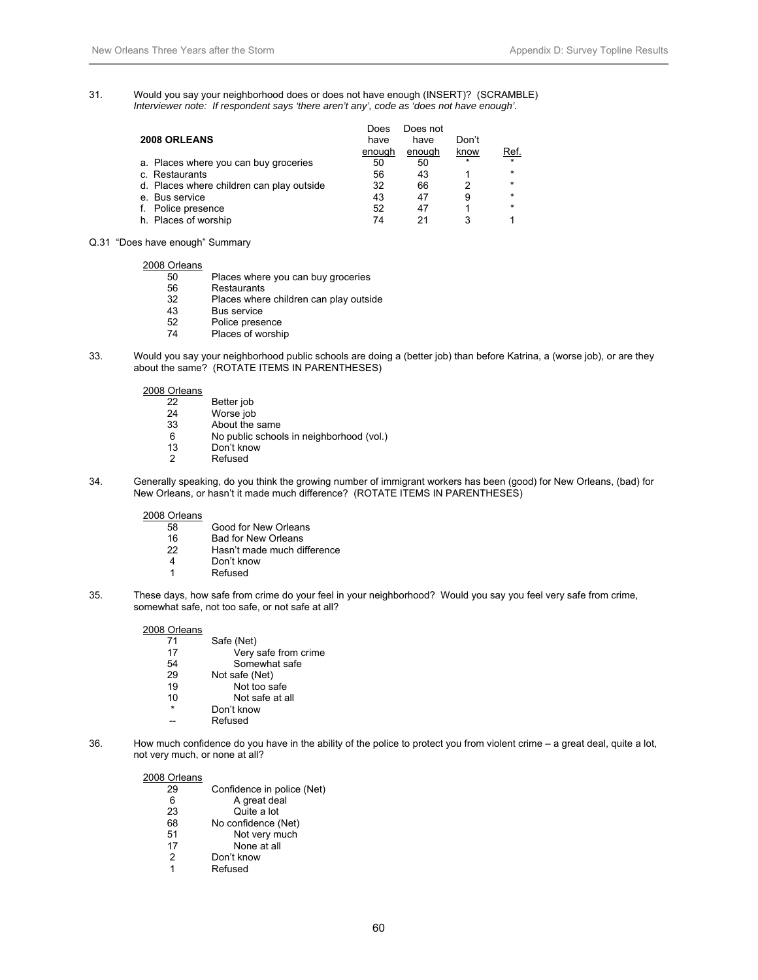31. Would you say your neighborhood does or does not have enough (INSERT)? (SCRAMBLE)  *Interviewer note: If respondent says 'there aren't any', code as 'does not have enough'.* 

|                                           | Does   | Does not |         |            |
|-------------------------------------------|--------|----------|---------|------------|
| 2008 ORLEANS                              | have   | have     | Don't   |            |
|                                           | enough | enough   | know    | <u>Ref</u> |
| a. Places where you can buy groceries     | 50     | 50       | $\star$ | $\star$    |
| c. Restaurants                            | 56     | 43       |         | $\star$    |
| d. Places where children can play outside | 32     | 66       |         | $\star$    |
| e. Bus service                            | 43     | 47       | 9       | $\star$    |
| Police presence                           | 52     | -47      |         | $\star$    |
| h. Places of worship                      | 74     |          | 3       |            |

Q.31 "Does have enough" Summary

2008 Orleans

- 50 Places where you can buy groceries
- 56 Restaurants<br>32 Places wher
- 32 Places where children can play outside
- 43 Bus service<br>52 Police prese
- 52 Police presence<br>74 Places of worshi
- Places of worship
- 33. Would you say your neighborhood public schools are doing a (better job) than before Katrina, a (worse job), or are they about the same? (ROTATE ITEMS IN PARENTHESES)

2008 Orleans

- 22 Better job<br>24 Worse job
- 24 Worse job<br>33 About the s
- About the same
- 6 No public schools in neighborhood (vol.)
- 13 Don't know<br>2 Refused
- **Refused**
- 34. Generally speaking, do you think the growing number of immigrant workers has been (good) for New Orleans, (bad) for New Orleans, or hasn't it made much difference? (ROTATE ITEMS IN PARENTHESES)

2008 Orleans

- 58 Good for New Orleans
- 16 Bad for New Orleans<br>22 Hasn't made much di
- Hasn't made much difference
- 4 Don't know
- 1 Refused
- 35. These days, how safe from crime do your feel in your neighborhood? Would you say you feel very safe from crime, somewhat safe, not too safe, or not safe at all?

#### 2008 Orleans

| 71      | Safe (Net)           |
|---------|----------------------|
| 17      | Very safe from crime |
| 54      | Somewhat safe        |
| 29      | Not safe (Net)       |
| 19      | Not too safe         |
| 10      | Not safe at all      |
| $\star$ | Don't know           |
|         | Refused              |

36. How much confidence do you have in the ability of the police to protect you from violent crime – a great deal, quite a lot, not very much, or none at all?

| 29 | Confidence in police (Net) |
|----|----------------------------|
| 6  | A great deal               |
| 23 | Quite a lot                |
| 68 | No confidence (Net)        |
| 51 | Not very much              |
| 17 | None at all                |
| 2  | Don't know                 |
| 1  | Refused                    |
|    |                            |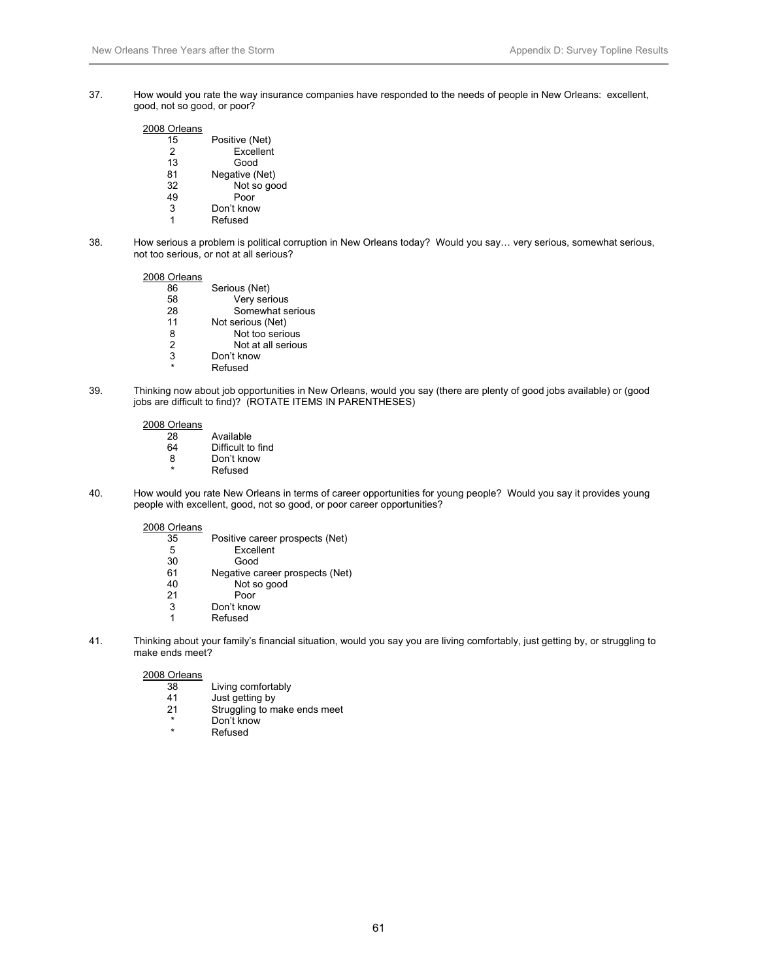37. How would you rate the way insurance companies have responded to the needs of people in New Orleans: excellent, good, not so good, or poor?

# 2008 Orleans

| 15             | Positive (Net) |
|----------------|----------------|
| $\overline{2}$ | Excellent      |
| 13             | Good           |
| 81             | Negative (Net) |
| 32             | Not so good    |
| 49             | Poor           |
| 3              | Don't know     |
| 1              | Refused        |

38. How serious a problem is political corruption in New Orleans today? Would you say… very serious, somewhat serious, not too serious, or not at all serious?

#### 2008 Orleans

| 86            | Serious (Net)      |
|---------------|--------------------|
| 58            | Very serious       |
| 28            | Somewhat serious   |
| 11            | Not serious (Net)  |
| 8             | Not too serious    |
| $\mathcal{P}$ | Not at all serious |
| 3             | Don't know         |
| ÷             | Refused            |
|               |                    |

39. Thinking now about job opportunities in New Orleans, would you say (there are plenty of good jobs available) or (good jobs are difficult to find)? (ROTATE ITEMS IN PARENTHESES)

#### 2008 Orleans

| 28 | Available         |
|----|-------------------|
| 64 | Difficult to find |
| 8  | Don't know        |
| ÷  | Refused           |

40. How would you rate New Orleans in terms of career opportunities for young people? Would you say it provides young people with excellent, good, not so good, or poor career opportunities?

#### 2008 Orleans

| 35 | Positive career prospects (Net) |
|----|---------------------------------|
| 5  | <b>Fxcellent</b>                |
| 30 | Good                            |
| 61 | Negative career prospects (Net) |
| 40 | Not so good                     |
| 21 | Poor                            |
| 3  | Don't know                      |
| 1  | Refused                         |
|    |                                 |

41. Thinking about your family's financial situation, would you say you are living comfortably, just getting by, or struggling to make ends meet?

- 38 Living comfortably
- 41 Just getting by
- 21 Struggling to make ends meet
- \* Don't know
- **Refused**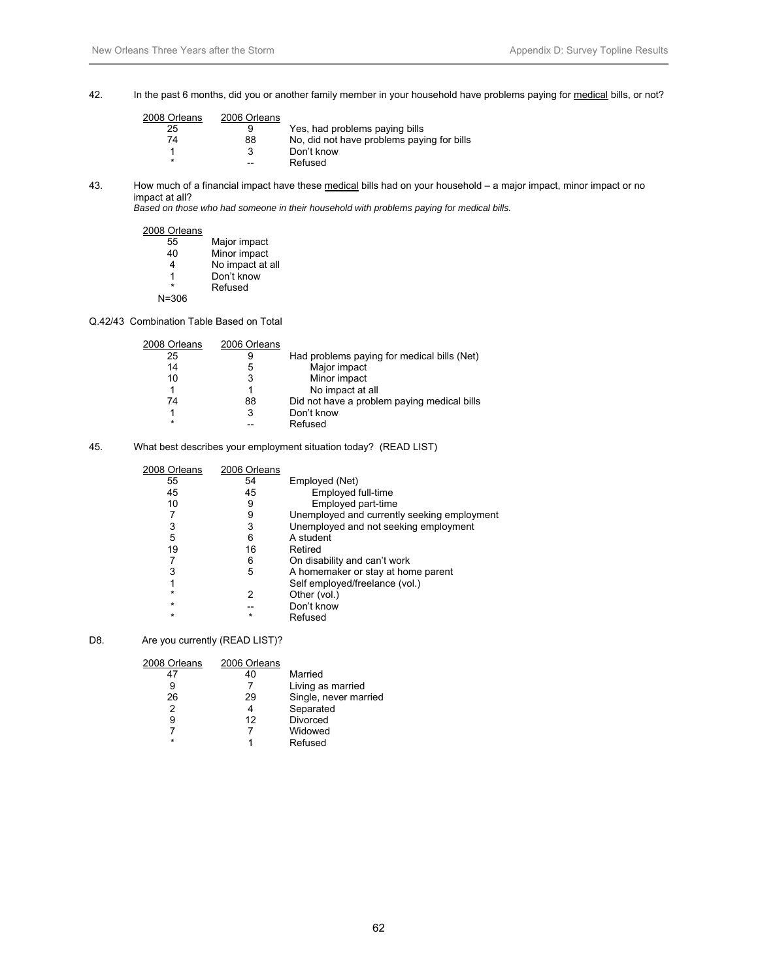42. In the past 6 months, did you or another family member in your household have problems paying for medical bills, or not?

| 2008 Orleans | 2006 Orleans |                                            |
|--------------|--------------|--------------------------------------------|
| 25           | 9            | Yes, had problems paying bills             |
| 74           | 88           | No, did not have problems paying for bills |
|              | 3            | Don't know                                 |
| $\star$      | --           | Refused                                    |
|              |              |                                            |

43. How much of a financial impact have these medical bills had on your household – a major impact, minor impact or no impact at all?

*Based on those who had someone in their household with problems paying for medical bills.* 

#### 2008 Orleans

| 55        | Major impact     |
|-----------|------------------|
| 40        | Minor impact     |
| 4         | No impact at all |
| 1         | Don't know       |
| ÷         | Refused          |
| $N = 306$ |                  |

# Q.42/43 Combination Table Based on Total

| 2008 Orleans | 2006 Orleans |                                             |
|--------------|--------------|---------------------------------------------|
| 25           | 9            | Had problems paying for medical bills (Net) |
| 14           | 5            | Major impact                                |
| 10           | 3            | Minor impact                                |
|              |              | No impact at all                            |
| 74           | 88           | Did not have a problem paying medical bills |
|              | 3            | Don't know                                  |
| $\star$      |              | Refused                                     |

#### 45. What best describes your employment situation today? (READ LIST)

| 2008 Orleans | 2006 Orleans |                                             |
|--------------|--------------|---------------------------------------------|
| 55           | 54           | Employed (Net)                              |
| 45           | 45           | Employed full-time                          |
| 10           | 9            | Employed part-time                          |
|              | 9            | Unemployed and currently seeking employment |
| 3            | 3            | Unemployed and not seeking employment       |
| 5            | 6            | A student                                   |
| 19           | 16           | Retired                                     |
|              | 6            | On disability and can't work                |
| 3            | 5            | A homemaker or stay at home parent          |
|              |              | Self employed/freelance (vol.)              |
| $\star$      | 2            | Other (vol.)                                |
| $\star$      |              | Don't know                                  |
| $\star$      | $\star$      | Refused                                     |

#### D8. Are you currently (READ LIST)?

| 2008 Orleans | 2006 Orleans |                       |
|--------------|--------------|-----------------------|
| 47           | 40           | Married               |
|              |              | Living as married     |
| 26           | 29           | Single, never married |
| 2            | 4            | Separated             |
| 9            | 12           | <b>Divorced</b>       |
|              |              | Widowed               |
| $\star$      |              | Refused               |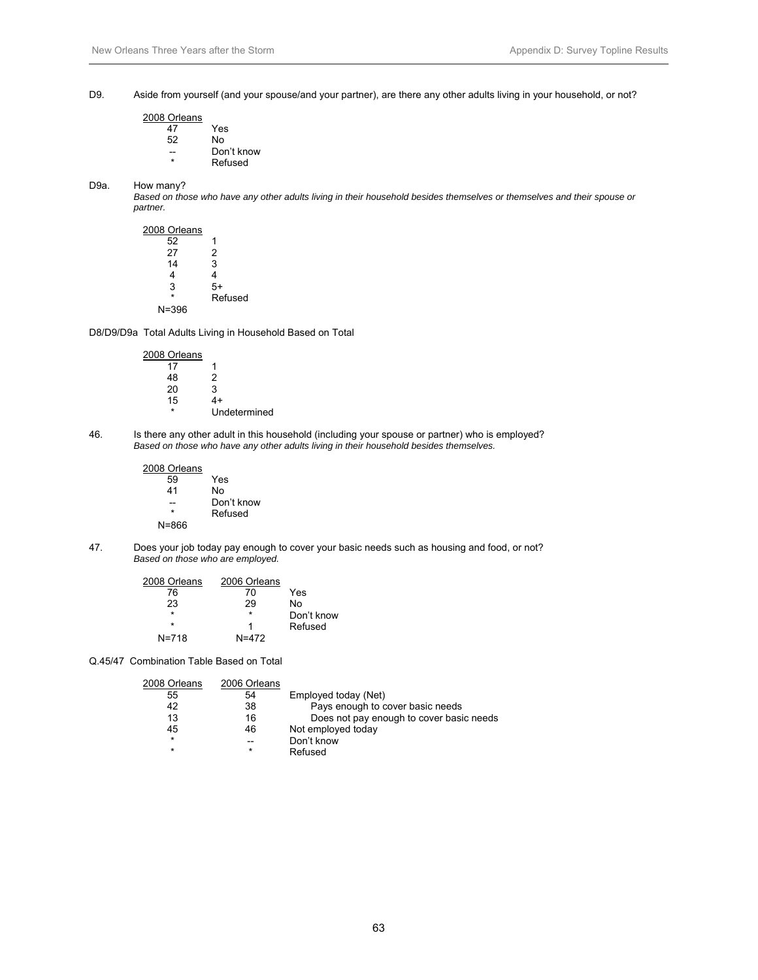D9. Aside from yourself (and your spouse/and your partner), are there any other adults living in your household, or not?

| Yes        |
|------------|
| No         |
| Don't know |
| Refused    |
|            |

#### D9a. How many?

 *Based on those who have any other adults living in their household besides themselves or themselves and their spouse or partner.* 

| 2008 Orleans |         |
|--------------|---------|
| 52           | 1       |
| 27           | 2       |
| 14           | 3       |
| 4            | 4       |
| 3            | 5+      |
| $\star$      | Refused |
| N=396        |         |

D8/D9/D9a Total Adults Living in Household Based on Total

2008 Orleans  $\begin{array}{c|cc} 17 & & 1 \\ 48 & & 2 \end{array}$ 48 2<br>20 3  $20$   $3$ <br>15  $4+$ 15 \* Undetermined

46. Is there any other adult in this household (including your spouse or partner) who is employed?  *Based on those who have any other adults living in their household besides themselves.* 

> 2008 Orleans 59 Yes 41 No -- Don't know **Refused**

N=866

47. Does your job today pay enough to cover your basic needs such as housing and food, or not? *Based on those who are employed.* 

| 2008 Orleans | 2006 Orleans |            |
|--------------|--------------|------------|
| 76           | 70           | Yes        |
| 23           | 29           | N٥         |
| $\star$      | $\star$      | Don't know |
| $\star$      |              | Refused    |
| $N = 718$    | $N = 472$    |            |

Q.45/47 Combination Table Based on Total

| 2008 Orleans | 2006 Orleans |                                          |
|--------------|--------------|------------------------------------------|
| 55           | 54           | Employed today (Net)                     |
| 42           | 38           | Pays enough to cover basic needs         |
| 13           | 16           | Does not pay enough to cover basic needs |
| 45           | 46           | Not employed today                       |
| $\star$      | --           | Don't know                               |
| $\star$      | $\star$      | Refused                                  |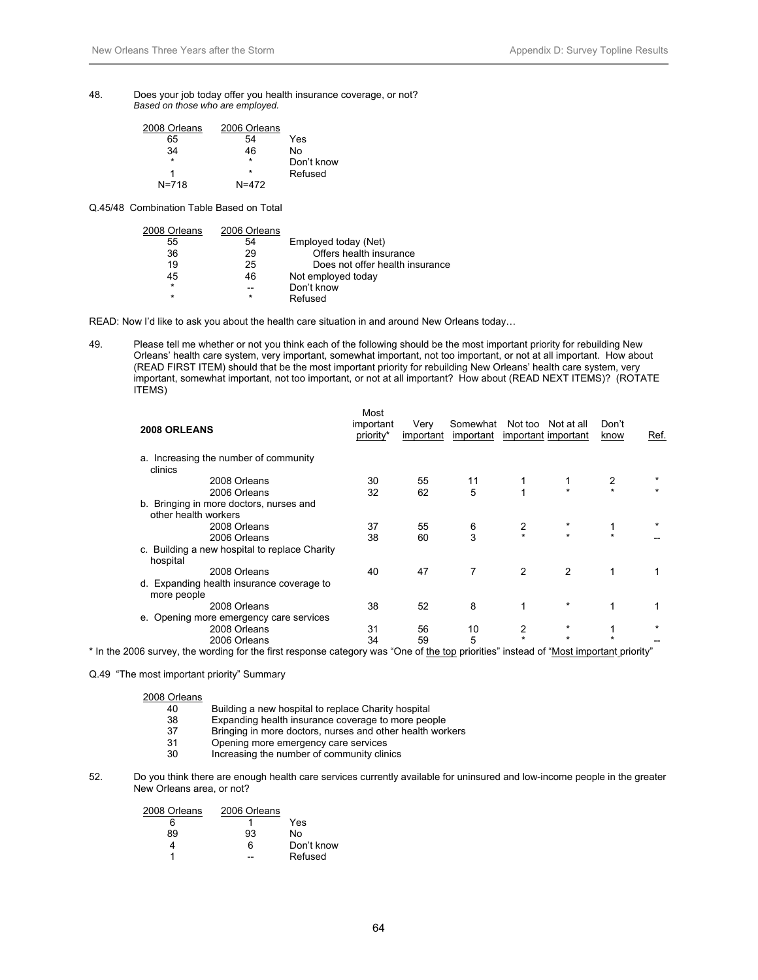48. Does your job today offer you health insurance coverage, or not? *Based on those who are employed.* 

| 2008 Orleans | 2006 Orleans |            |
|--------------|--------------|------------|
| 65           | 54           | Yes        |
| 34           | 46           | N٥         |
| $\star$      | $\star$      | Don't know |
|              | $\star$      | Refused    |
| $N = 718$    | $N = 472$    |            |

Q.45/48 Combination Table Based on Total

| 2006 Orleans |                                 |
|--------------|---------------------------------|
| 54           | Employed today (Net)            |
| 29           | Offers health insurance         |
| 25           | Does not offer health insurance |
| 46           | Not employed today              |
|              | Don't know                      |
| $\star$      | Refused                         |
|              |                                 |

READ: Now I'd like to ask you about the health care situation in and around New Orleans today…

49. Please tell me whether or not you think each of the following should be the most important priority for rebuilding New Orleans' health care system, very important, somewhat important, not too important, or not at all important. How about (READ FIRST ITEM) should that be the most important priority for rebuilding New Orleans' health care system, very important, somewhat important, not too important, or not at all important? How about (READ NEXT ITEMS)? (ROTATE ITEMS)

| 2008 ORLEANS                                                                                                                           | Most<br>important<br>priority* | Very<br>important | Somewhat<br>important |         | Not too Not at all<br>important important | Don't<br>know | Ref. |
|----------------------------------------------------------------------------------------------------------------------------------------|--------------------------------|-------------------|-----------------------|---------|-------------------------------------------|---------------|------|
| a. Increasing the number of community<br>clinics                                                                                       |                                |                   |                       |         |                                           |               |      |
| 2008 Orleans                                                                                                                           | 30                             | 55                | 11                    |         |                                           |               |      |
| 2006 Orleans                                                                                                                           | 32                             | 62                | 5                     |         |                                           |               |      |
| b. Bringing in more doctors, nurses and<br>other health workers                                                                        |                                |                   |                       |         |                                           |               |      |
| 2008 Orleans                                                                                                                           | 37                             | 55                | 6                     |         |                                           |               |      |
| 2006 Orleans                                                                                                                           | 38                             | 60                | 3                     | $\star$ | $\star$                                   | $\star$       |      |
| c. Building a new hospital to replace Charity<br>hospital                                                                              |                                |                   |                       |         |                                           |               |      |
| 2008 Orleans                                                                                                                           | 40                             | 47                | 7                     | 2       | 2                                         | $\mathbf 1$   |      |
| d. Expanding health insurance coverage to<br>more people                                                                               |                                |                   |                       |         |                                           |               |      |
| 2008 Orleans                                                                                                                           | 38                             | 52                | 8                     |         |                                           | 1             |      |
| e. Opening more emergency care services                                                                                                |                                |                   |                       |         |                                           |               |      |
| 2008 Orleans                                                                                                                           | 31                             | 56                | 10                    | 2       |                                           |               |      |
| 2006 Orleans                                                                                                                           | 34                             | 59                | 5                     |         |                                           |               |      |
| * In the 2006 survey, the wording for the first response category was "One of the top priorities" instead of "Most important priority" |                                |                   |                       |         |                                           |               |      |

Q.49 "The most important priority" Summary

- 40 Building a new hospital to replace Charity hospital<br>38 Expanding health insurance coverage to more peo
- Expanding health insurance coverage to more people
- 37 Bringing in more doctors, nurses and other health workers<br>31 Opening more emergency care services
- 31 Opening more emergency care services<br>30 Increasing the number of community clin
- Increasing the number of community clinics
- 52. Do you think there are enough health care services currently available for uninsured and low-income people in the greater New Orleans area, or not?

| 2008 Orleans | 2006 Orleans |            |
|--------------|--------------|------------|
| 6            |              | Yes        |
| 89           | 93           | N٥         |
|              | ิค           | Don't know |
|              |              | Refused    |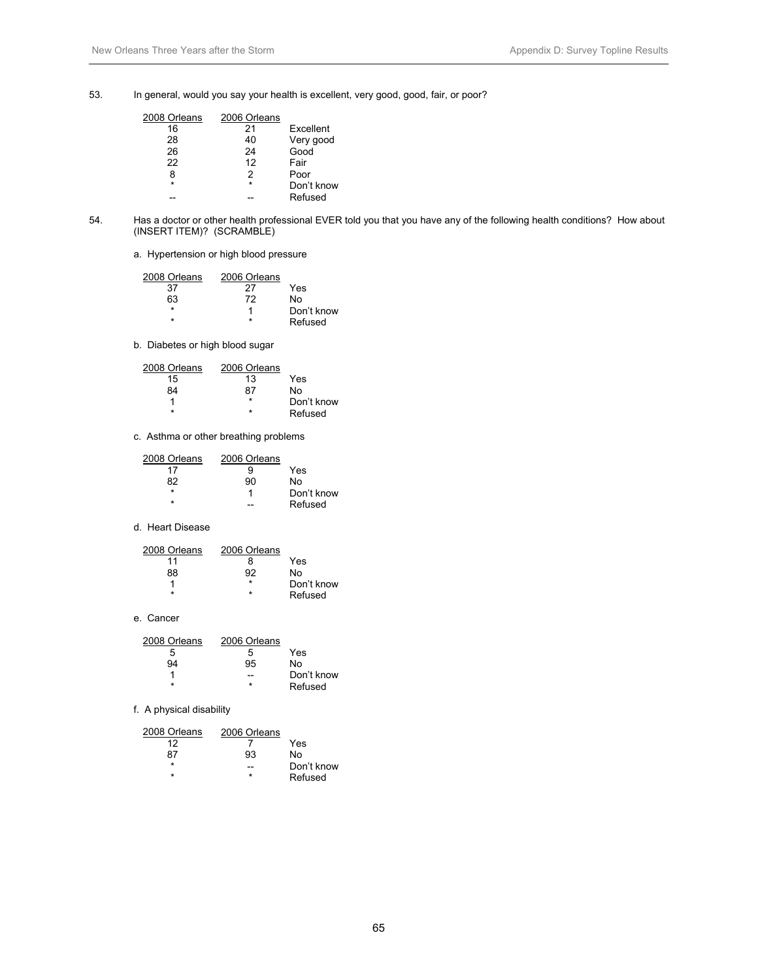53. In general, would you say your health is excellent, very good, good, fair, or poor?

| 2008 Orleans | 2006 Orleans |            |
|--------------|--------------|------------|
| 16           | 21           | Excellent  |
| 28           | 40           | Very good  |
| 26           | 24           | Good       |
| 22           | 12           | Fair       |
| 8            | 2            | Poor       |
| $\star$      | $\star$      | Don't know |
|              |              | Refused    |

- 54. Has a doctor or other health professional EVER told you that you have any of the following health conditions? How about (INSERT ITEM)? (SCRAMBLE)
	- a. Hypertension or high blood pressure

| 2008 Orleans | 2006 Orleans |            |
|--------------|--------------|------------|
| 37           | 27           | Yes        |
| 63           | 72           | N٥         |
| ÷            |              | Don't know |
| ÷            |              | Refused    |

b. Diabetes or high blood sugar

| 2008 Orleans | 2006 Orleans |            |
|--------------|--------------|------------|
| 15           | 13           | Yes        |
| 84           | 87           | N٥         |
|              | ÷            | Don't know |
| ÷            | ÷            | Refused    |

c. Asthma or other breathing problems

| 2008 Orleans | 2006 Orleans |            |
|--------------|--------------|------------|
| 17           |              | Yes        |
| 82           | 90           | N٥         |
|              |              | Don't know |
|              |              | Refused    |

#### d. Heart Disease

| 2008 Orleans | 2006 Orleans |            |
|--------------|--------------|------------|
| 11           |              | Yes        |
| 88           | 92           | N٥         |
|              | ÷            | Don't know |
| ÷            | ÷            | Refused    |

e. Cancer

| 2008 Orleans | 2006 Orleans |            |
|--------------|--------------|------------|
| 5            | h            | Yes        |
| 94           | 95           | N٥         |
|              |              | Don't know |
|              | ÷            | Refused    |

#### f. A physical disability

| 2008 Orleans | 2006 Orleans |            |
|--------------|--------------|------------|
| 12           |              | Yes        |
| 87           | 93           | N٥         |
| ÷            |              | Don't know |
|              | ÷            | Refused    |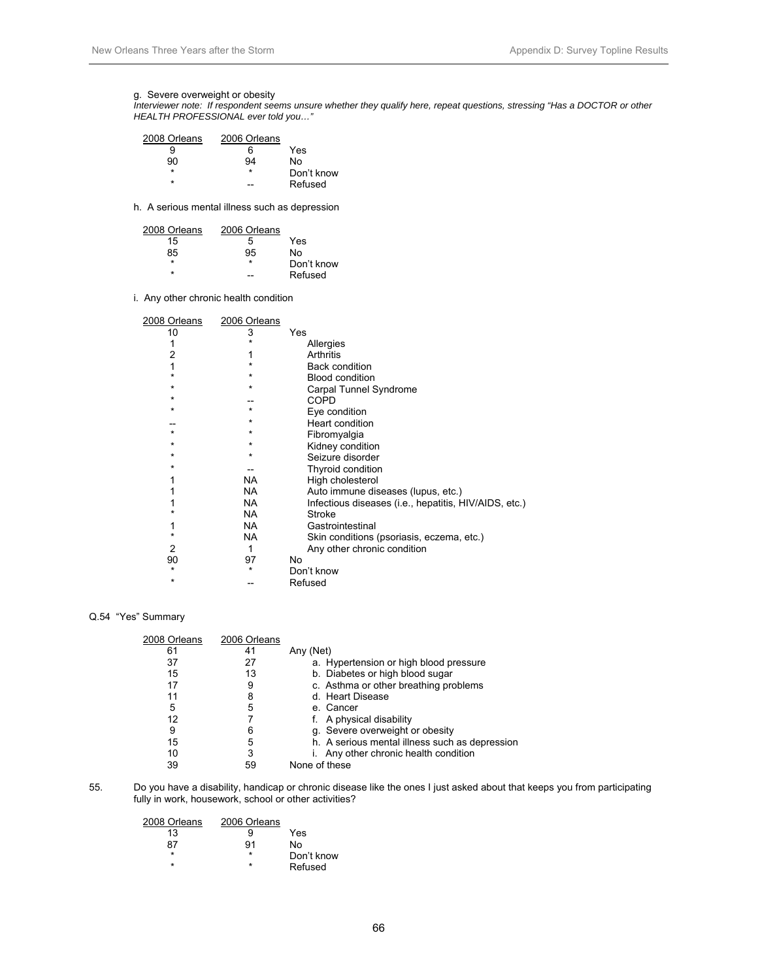#### g. Severe overweight or obesity

 *Interviewer note: If respondent seems unsure whether they qualify here, repeat questions, stressing "Has a DOCTOR or other HEALTH PROFESSIONAL ever told you…"* 

| 2008 Orleans | 2006 Orleans |            |
|--------------|--------------|------------|
|              | ิค           | Yes        |
| 90           | 94           | N٥         |
| ÷            | ÷            | Don't know |
| ÷            |              | Refused    |

h. A serious mental illness such as depression

| 2008 Orleans | 2006 Orleans |            |
|--------------|--------------|------------|
| 15           | ٠h           | Yes        |
| 85           | 95           | N٥         |
| ÷            | ÷            | Don't know |
| ÷            |              | Refused    |

i. Any other chronic health condition

| 2008 Orleans | 2006 Orleans |                                                       |
|--------------|--------------|-------------------------------------------------------|
| 10           | 3            | Yes                                                   |
|              |              | Allergies                                             |
| 2            |              | Arthritis                                             |
|              | $\star$      | <b>Back condition</b>                                 |
|              | $\star$      | <b>Blood condition</b>                                |
| $\star$      | ¥            | Carpal Tunnel Syndrome                                |
| $\star$      |              | COPD                                                  |
| $\star$      | $\star$      | Eye condition                                         |
|              | *            | Heart condition                                       |
| $\star$      | $\star$      | Fibromyalgia                                          |
| $\star$      | $\star$      | Kidney condition                                      |
| $\star$      | $\star$      | Seizure disorder                                      |
| $\star$      |              | Thyroid condition                                     |
|              | NA.          | High cholesterol                                      |
|              | NA.          | Auto immune diseases (lupus, etc.)                    |
|              | NA           | Infectious diseases (i.e., hepatitis, HIV/AIDS, etc.) |
|              | NA.          | Stroke                                                |
|              | NA.          | Gastrointestinal                                      |
|              | NA.          | Skin conditions (psoriasis, eczema, etc.)             |
| 2            | 1            | Any other chronic condition                           |
| 90           | 97           | No                                                    |
| $\star$      | ¥            | Don't know                                            |
| $\star$      |              | Refused                                               |

#### Q.54 "Yes" Summary

| 2008 Orleans | 2006 Orleans |                                                |
|--------------|--------------|------------------------------------------------|
| 61           | 41           | Any (Net)                                      |
| 37           | 27           | a. Hypertension or high blood pressure         |
| 15           | 13           | b. Diabetes or high blood sugar                |
| 17           | 9            | c. Asthma or other breathing problems          |
| 11           | 8            | d. Heart Disease                               |
| 5            | 5            | e. Cancer                                      |
| 12           |              | f. A physical disability                       |
| 9            | 6            | g. Severe overweight or obesity                |
| 15           | 5            | h. A serious mental illness such as depression |
| 10           | 3            | Any other chronic health condition             |
| 39           | 59           | None of these                                  |

55. Do you have a disability, handicap or chronic disease like the ones I just asked about that keeps you from participating fully in work, housework, school or other activities?

| 2008 Orleans | 2006 Orleans |            |
|--------------|--------------|------------|
| 13           | я            | Yes        |
| 87           | 91           | N٥         |
| ÷            | ÷            | Don't know |
| ÷            | *            | Refused    |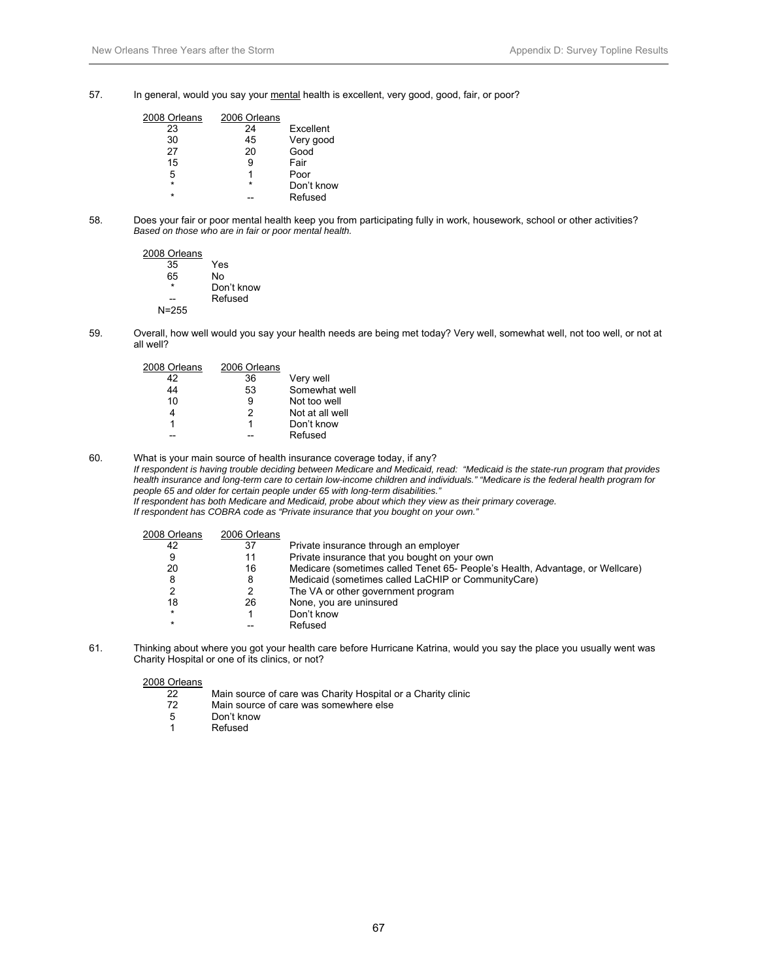57. In general, would you say your mental health is excellent, very good, good, fair, or poor?

| 2008 Orleans | 2006 Orleans |            |
|--------------|--------------|------------|
| 23           | 24           | Excellent  |
| 30           | 45           | Very good  |
| 27           | 20           | Good       |
| 15           | 9            | Fair       |
| 5            |              | Poor       |
| ÷            | $\star$      | Don't know |
| ÷            |              | Refused    |

58. Does your fair or poor mental health keep you from participating fully in work, housework, school or other activities?  *Based on those who are in fair or poor mental health.* 

2008 Orleans  $\frac{35}{65}$  Yes 65 No Don't know -- Refused N=255

59. Overall, how well would you say your health needs are being met today? Very well, somewhat well, not too well, or not at all well?

| 2008 Orleans | 2006 Orleans |                 |
|--------------|--------------|-----------------|
| 42           | 36           | Very well       |
| 44           | 53           | Somewhat well   |
| 10           | 9            | Not too well    |
|              | 2            | Not at all well |
|              | 1            | Don't know      |
|              |              | Refused         |

60. What is your main source of health insurance coverage today, if any? *If respondent is having trouble deciding between Medicare and Medicaid, read: "Medicaid is the state-run program that provides health insurance and long-term care to certain low-income children and individuals." "Medicare is the federal health program for people 65 and older for certain people under 65 with long-term disabilities."* 

 *If respondent has both Medicare and Medicaid, probe about which they view as their primary coverage.* 

 *If respondent has COBRA code as "Private insurance that you bought on your own."* 

| 2008 Orleans | 2006 Orleans |                                                                               |
|--------------|--------------|-------------------------------------------------------------------------------|
| 42           | 37           | Private insurance through an employer                                         |
| 9            | 11           | Private insurance that you bought on your own                                 |
| 20           | 16           | Medicare (sometimes called Tenet 65- People's Health, Advantage, or Wellcare) |
| 8            | 8            | Medicaid (sometimes called LaCHIP or CommunityCare)                           |
| ົ            |              | The VA or other government program                                            |
| 18           | 26           | None, you are uninsured                                                       |
| $\star$      |              | Don't know                                                                    |
| $\star$      |              | Refused                                                                       |
|              |              |                                                                               |

61. Thinking about where you got your health care before Hurricane Katrina, would you say the place you usually went was Charity Hospital or one of its clinics, or not?

- 22 Main source of care was Charity Hospital or a Charity clinic<br>72 Main source of care was somewhere else
- 72 Main source of care was somewhere else<br>5 Don't know
- 5 Don't know
- 1 Refused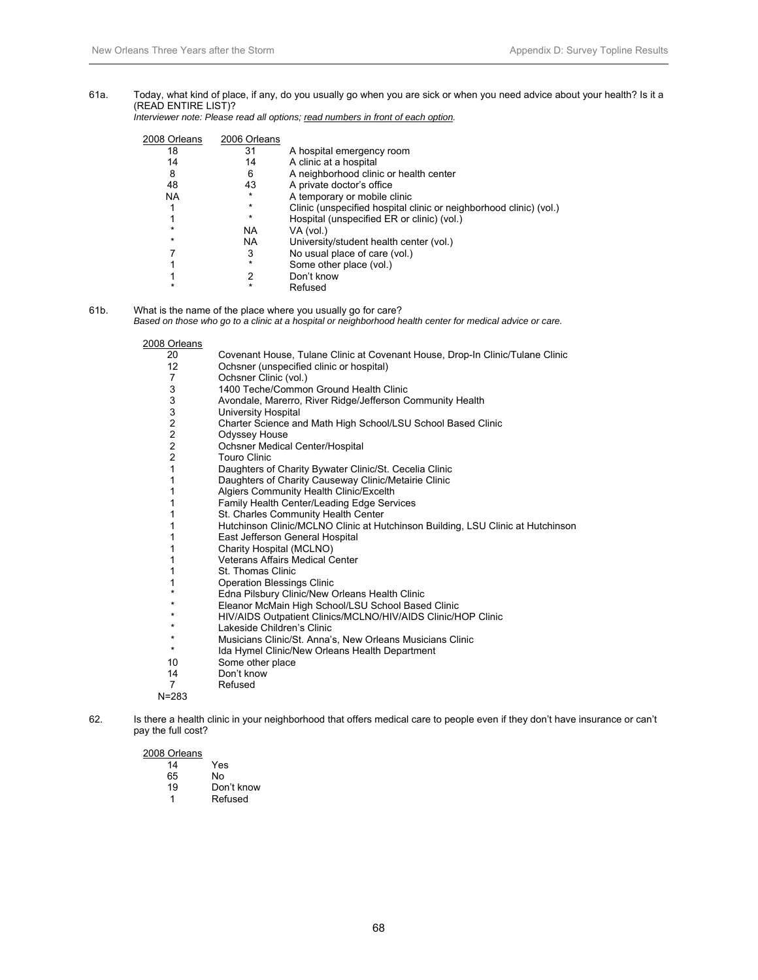#### 61a. Today, what kind of place, if any, do you usually go when you are sick or when you need advice about your health? Is it a (READ ENTIRE LIST)?

 *Interviewer note: Please read all options; read numbers in front of each option.* 

| 2008 Orleans | 2006 Orleans |                                                                    |
|--------------|--------------|--------------------------------------------------------------------|
| 18           | 31           | A hospital emergency room                                          |
| 14           | 14           | A clinic at a hospital                                             |
| 8            | 6            | A neighborhood clinic or health center                             |
| 48           | 43           | A private doctor's office                                          |
| <b>NA</b>    | $\star$      | A temporary or mobile clinic                                       |
|              | $\star$      | Clinic (unspecified hospital clinic or neighborhood clinic) (vol.) |
|              | $\star$      | Hospital (unspecified ER or clinic) (vol.)                         |
|              | <b>NA</b>    | VA (vol.)                                                          |
| $\star$      | <b>NA</b>    | University/student health center (vol.)                            |
|              | 3            | No usual place of care (vol.)                                      |
|              | $\star$      | Some other place (vol.)                                            |
|              |              | Don't know                                                         |
|              | ÷            | Refused                                                            |
|              |              |                                                                    |

61b. What is the name of the place where you usually go for care?

 *Based on those who go to a clinic at a hospital or neighborhood health center for medical advice or care.* 

#### 2008 Orleans

| Urieans<br>5            |                                                                                 |
|-------------------------|---------------------------------------------------------------------------------|
| 20                      | Covenant House, Tulane Clinic at Covenant House, Drop-In Clinic/Tulane Clinic   |
| 12                      | Ochsner (unspecified clinic or hospital)                                        |
| 7                       | Ochsner Clinic (vol.)                                                           |
| 3                       | 1400 Teche/Common Ground Health Clinic                                          |
| 3                       | Avondale, Marerro, River Ridge/Jefferson Community Health                       |
| 3                       | University Hospital                                                             |
| $\overline{\mathbf{c}}$ | Charter Science and Math High School/LSU School Based Clinic                    |
| $\mathbf 2$             | Odyssey House                                                                   |
| $\overline{c}$          | Ochsner Medical Center/Hospital                                                 |
| 2                       | <b>Touro Clinic</b>                                                             |
| 1                       | Daughters of Charity Bywater Clinic/St. Cecelia Clinic                          |
| 1                       | Daughters of Charity Causeway Clinic/Metairie Clinic                            |
| 1                       | Algiers Community Health Clinic/Excelth                                         |
|                         | Family Health Center/Leading Edge Services                                      |
| 1                       | St. Charles Community Health Center                                             |
|                         | Hutchinson Clinic/MCLNO Clinic at Hutchinson Building, LSU Clinic at Hutchinson |
| 1                       | East Jefferson General Hospital                                                 |
| 1                       | Charity Hospital (MCLNO)                                                        |
| 1                       | <b>Veterans Affairs Medical Center</b>                                          |
| 1                       | St. Thomas Clinic                                                               |
| 1                       | <b>Operation Blessings Clinic</b>                                               |
|                         | Edna Pilsbury Clinic/New Orleans Health Clinic                                  |
| *                       | Eleanor McMain High School/LSU School Based Clinic                              |
| *                       | HIV/AIDS Outpatient Clinics/MCLNO/HIV/AIDS Clinic/HOP Clinic                    |
| *                       | Lakeside Children's Clinic                                                      |
| *                       | Musicians Clinic/St. Anna's, New Orleans Musicians Clinic                       |
| *                       | Ida Hymel Clinic/New Orleans Health Department                                  |
| 10                      | Some other place                                                                |
| 14                      | Don't know                                                                      |
| 7                       | Refused                                                                         |

N=283

62. Is there a health clinic in your neighborhood that offers medical care to people even if they don't have insurance or can't pay the full cost?

- 14 Yes<br>65 No
- 65 No<br>19 Dor
- Don't know
- 1 Refused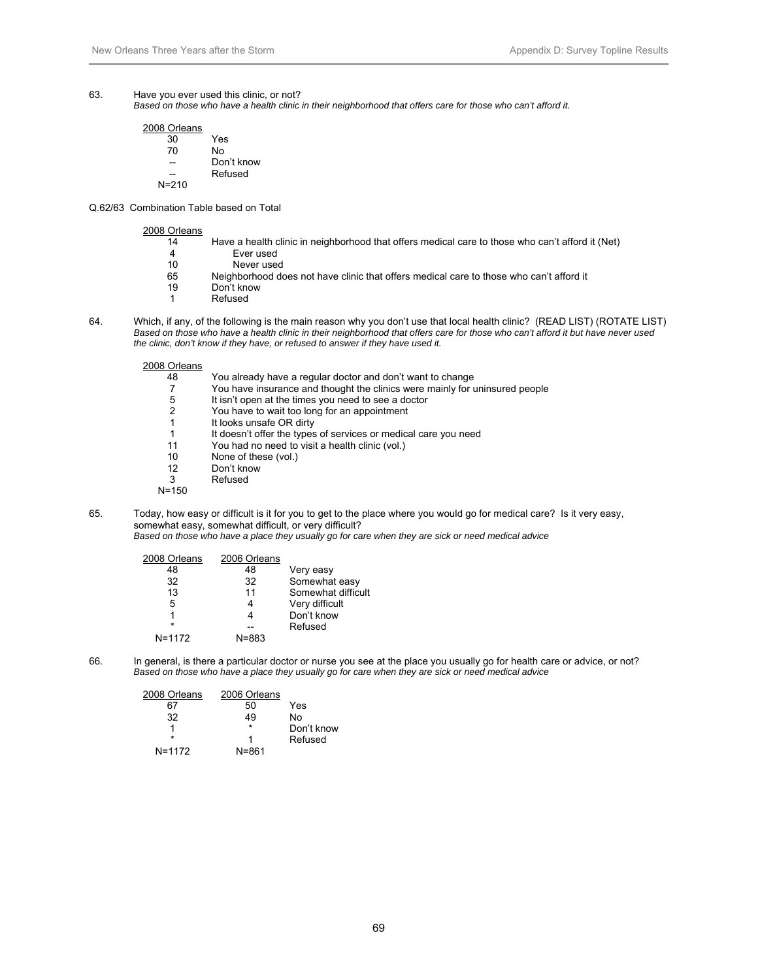#### 63. Have you ever used this clinic, or not?

 *Based on those who have a health clinic in their neighborhood that offers care for those who can't afford it.* 

| 2008 Orleans |           |
|--------------|-----------|
| 30           | Yes       |
| 70           | No        |
|              | Don't kno |
|              | Refused   |
| $N = 210$    |           |

know

Q.62/63 Combination Table based on Total

2008 Orleans

| טווטט ש |                                                                                                  |
|---------|--------------------------------------------------------------------------------------------------|
| 14      | Have a health clinic in neighborhood that offers medical care to those who can't afford it (Net) |
| 4       | Ever used                                                                                        |
| 10      | Never used                                                                                       |
| 65      | Neighborhood does not have clinic that offers medical care to those who can't afford it          |
| 19      | Don't know                                                                                       |
|         | Refused                                                                                          |

64. Which, if any, of the following is the main reason why you don't use that local health clinic? (READ LIST) (ROTATE LIST)  *Based on those who have a health clinic in their neighborhood that offers care for those who can't afford it but have never used the clinic, don't know if they have, or refused to answer if they have used it.* 

2008 Orleans

| 48    | You already have a regular doctor and don't want to change                  |
|-------|-----------------------------------------------------------------------------|
| 7     | You have insurance and thought the clinics were mainly for uninsured people |
| 5     | It isn't open at the times you need to see a doctor                         |
| 2     | You have to wait too long for an appointment                                |
| 1     | It looks unsafe OR dirty                                                    |
| 1     | It doesn't offer the types of services or medical care you need             |
| 11    | You had no need to visit a health clinic (vol.)                             |
| 10    | None of these (vol.)                                                        |
| 12    | Don't know                                                                  |
| 3     | Refused                                                                     |
| N=150 |                                                                             |
|       |                                                                             |

65. Today, how easy or difficult is it for you to get to the place where you would go for medical care? Is it very easy, somewhat easy, somewhat difficult, or very difficult?  *Based on those who have a place they usually go for care when they are sick or need medical advice* 

| 2008 Orleans | 2006 Orleans |                    |
|--------------|--------------|--------------------|
| 48           | 48           | Very easy          |
| 32           | 32           | Somewhat easy      |
| 13           | 11           | Somewhat difficult |
| 5            |              | Very difficult     |
|              |              | Don't know         |
| $\star$      |              | Refused            |
| $N = 1172$   | $N = 883$    |                    |

66. In general, is there a particular doctor or nurse you see at the place you usually go for health care or advice, or not? *Based on those who have a place they usually go for care when they are sick or need medical advice* 

| 2008 Orleans | 2006 Orleans |            |
|--------------|--------------|------------|
| 67           | 50           | Yes        |
| 32           | 49           | N٥         |
|              | $\star$      | Don't know |
|              | 1            | Refused    |
| $N = 1172$   | N=861        |            |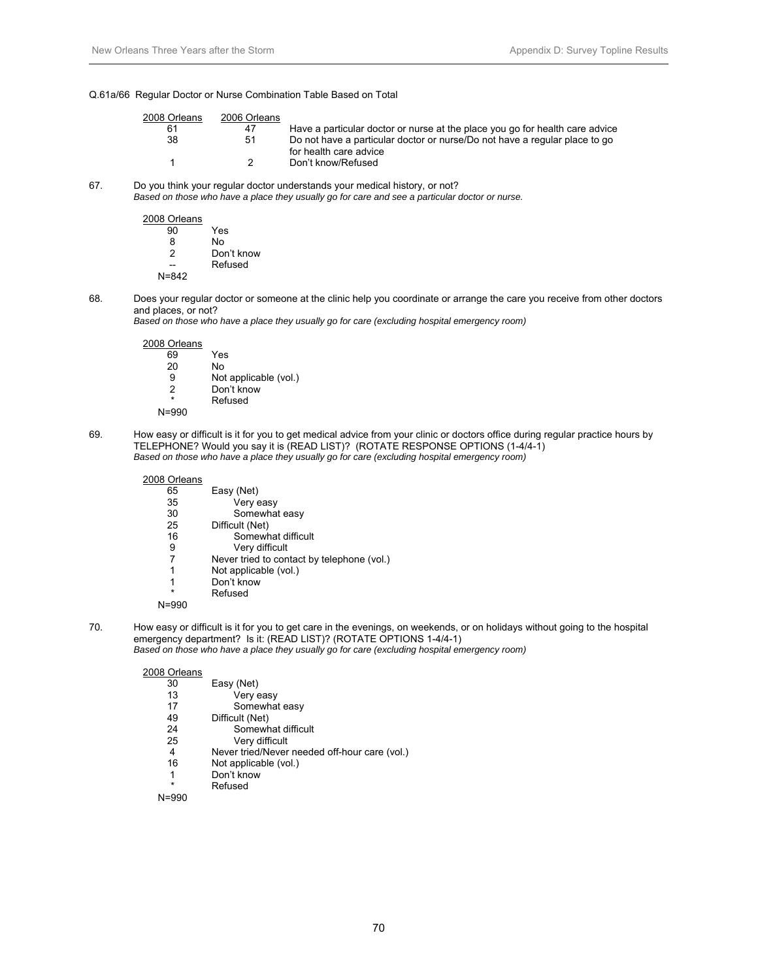#### Q.61a/66 Regular Doctor or Nurse Combination Table Based on Total

| 2008 Orleans | 2006 Orleans |                                                                                                      |
|--------------|--------------|------------------------------------------------------------------------------------------------------|
| 61           | 47           | Have a particular doctor or nurse at the place you go for health care advice                         |
| 38           | 51           | Do not have a particular doctor or nurse/Do not have a regular place to go<br>for health care advice |
|              | ົ            | Don't know/Refused                                                                                   |

67. Do you think your regular doctor understands your medical history, or not?

 *Based on those who have a place they usually go for care and see a particular doctor or nurse.* 

2008 Orleans Yes

| 8     | N٥         |
|-------|------------|
| 2     | Don't know |
|       | Refused    |
| N=842 |            |

68. Does your regular doctor or someone at the clinic help you coordinate or arrange the care you receive from other doctors and places, or not?

*Based on those who have a place they usually go for care (excluding hospital emergency room)* 

| 2008 Orleans |                       |
|--------------|-----------------------|
| 69           | Yes                   |
| 20           | No                    |
| 9            | Not applicable (vol.) |
| 2            | Don't know            |
| $\star$      | Refused               |
|              |                       |

N=990

69. How easy or difficult is it for you to get medical advice from your clinic or doctors office during regular practice hours by TELEPHONE? Would you say it is (READ LIST)? (ROTATE RESPONSE OPTIONS (1-4/4-1) *Based on those who have a place they usually go for care (excluding hospital emergency room)* 

| 2008 Orleans |                                            |
|--------------|--------------------------------------------|
| 65           | Easy (Net)                                 |
| 35           | Very easy                                  |
| 30           | Somewhat easy                              |
| 25           | Difficult (Net)                            |
| 16           | Somewhat difficult                         |
| 9            | Very difficult                             |
|              | Never tried to contact by telephone (vol.) |
| 1            | Not applicable (vol.)                      |
| 1            | Don't know                                 |
| $\star$      | Refused                                    |
| N=990        |                                            |

70. How easy or difficult is it for you to get care in the evenings, on weekends, or on holidays without going to the hospital emergency department? Is it: (READ LIST)? (ROTATE OPTIONS 1-4/4-1) *Based on those who have a place they usually go for care (excluding hospital emergency room)* 

2008 Orleans

| <b>UILLUID</b> |                                               |
|----------------|-----------------------------------------------|
| 30             | Easy (Net)                                    |
| 13             | Very easy                                     |
| 17             | Somewhat easy                                 |
| 49             | Difficult (Net)                               |
| 24             | Somewhat difficult                            |
| 25             | Very difficult                                |
| 4              | Never tried/Never needed off-hour care (vol.) |
| 16             | Not applicable (vol.)                         |
| 1              | Don't know                                    |
| $\star$        | Refused                                       |

N=990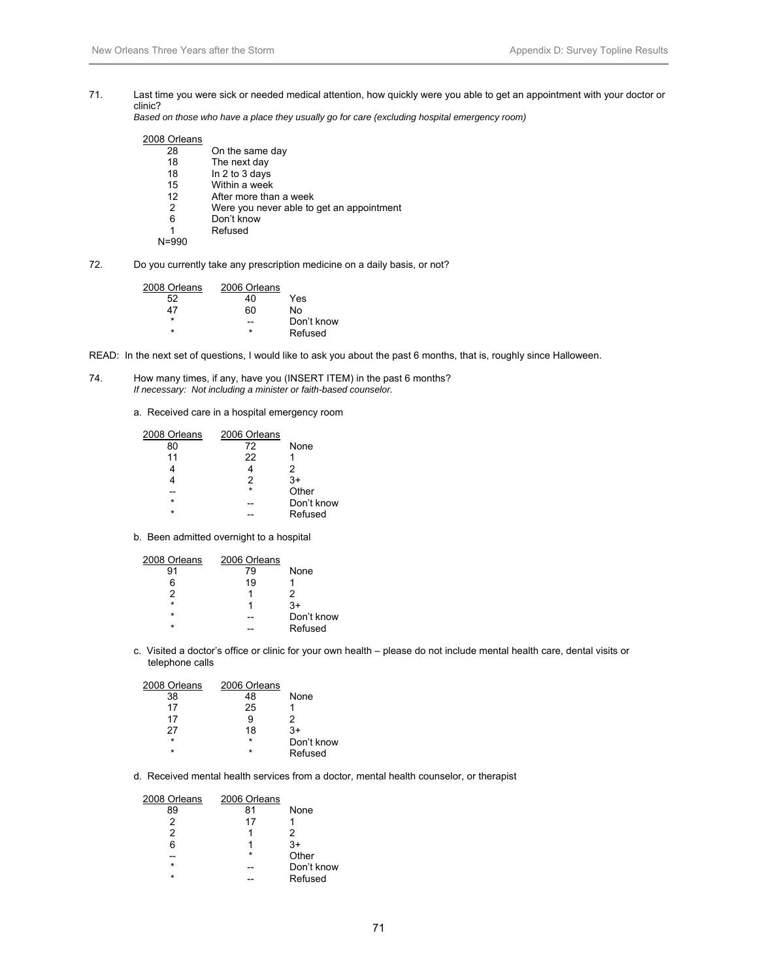71. Last time you were sick or needed medical attention, how quickly were you able to get an appointment with your doctor or clinic?

*Based on those who have a place they usually go for care (excluding hospital emergency room)* 

### 2008 Orleans

| On the same day                           |
|-------------------------------------------|
| The next day                              |
| In 2 to 3 days                            |
| Within a week                             |
| After more than a week                    |
| Were you never able to get an appointment |
| Don't know                                |
| Refused                                   |
|                                           |
|                                           |

72. Do you currently take any prescription medicine on a daily basis, or not?

| 2006 Orleans |            |
|--------------|------------|
| 40           | Yes        |
| 60           | N٥         |
|              | Don't know |
| ÷            | Refused    |
|              |            |

READ: In the next set of questions, I would like to ask you about the past 6 months, that is, roughly since Halloween.

- 74. How many times, if any, have you (INSERT ITEM) in the past 6 months?  *If necessary: Not including a minister or faith-based counselor.* 
	- a. Received care in a hospital emergency room

| 2008 Orleans | 2006 Orleans |            |
|--------------|--------------|------------|
| 80           | 72           | None       |
| 11           | 22           |            |
|              |              | 2          |
|              | 2            | $3+$       |
|              | $\star$      | Other      |
| $\star$      |              | Don't know |
| $\star$      |              | Refused    |

b. Been admitted overnight to a hospital

| 2008 Orleans | 2006 Orleans |            |
|--------------|--------------|------------|
| 91           | 79           | None       |
| 6            | 19           |            |
| 2            |              | 2          |
| $\star$      |              | 3+         |
| $\star$      |              | Don't know |
| ÷            |              | Refused    |
|              |              |            |

c. Visited a doctor's office or clinic for your own health – please do not include mental health care, dental visits or telephone calls

| 2008 Orleans | 2006 Orleans |            |
|--------------|--------------|------------|
| 38           | 48           | None       |
| 17           | 25           |            |
| 17           | 9            | 2          |
| 27           | 18           | 3+         |
| $\star$      | $\star$      | Don't know |
| ÷            | $\star$      | Refused    |

d. Received mental health services from a doctor, mental health counselor, or therapist

| 2008 Orleans | 2006 Orleans |            |
|--------------|--------------|------------|
| 89           | 81           | None       |
| 2            | 17           |            |
| 2            | 1            | 2          |
| հ            | 1            | $3+$       |
|              | $\star$      | Other      |
| $\star$      |              | Don't know |
| ÷            |              | Refused    |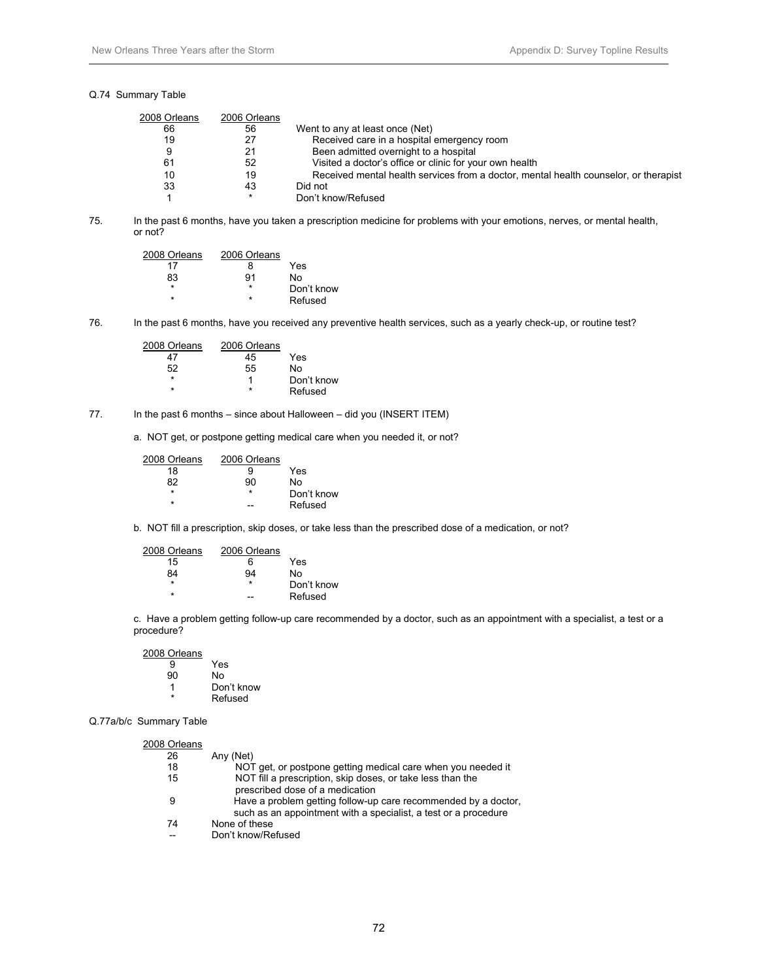#### Q.74 Summary Table

| 2008 Orleans | 2006 Orleans |                                                                                      |
|--------------|--------------|--------------------------------------------------------------------------------------|
| 66           | 56           | Went to any at least once (Net)                                                      |
| 19           | 27           | Received care in a hospital emergency room                                           |
| 9            | 21           | Been admitted overnight to a hospital                                                |
| 61           | 52           | Visited a doctor's office or clinic for your own health                              |
| 10           | 19           | Received mental health services from a doctor, mental health counselor, or therapist |
| 33           | 43           | Did not                                                                              |
|              | *            | Don't know/Refused                                                                   |

75. In the past 6 months, have you taken a prescription medicine for problems with your emotions, nerves, or mental health, or not?

| 2008 Orleans | 2006 Orleans |            |
|--------------|--------------|------------|
| 17           | x            | Yes        |
| 83           | 91           | N٥         |
| ÷            | ÷            | Don't know |
| ÷            | ÷            | Refused    |

76. In the past 6 months, have you received any preventive health services, such as a yearly check-up, or routine test?

| 2008 Orleans | 2006 Orleans |            |
|--------------|--------------|------------|
|              | 45           | Yes        |
| 52           | 55           | N٥         |
| $\star$      |              | Don't know |
| ÷            | ÷            | Refused    |

#### 77. In the past 6 months – since about Halloween – did you (INSERT ITEM)

a. NOT get, or postpone getting medical care when you needed it, or not?

| 2008 Orleans | 2006 Orleans |            |
|--------------|--------------|------------|
| 18           | g            | Yes        |
| 82           | 90           | N٥         |
| $\star$      | ÷            | Don't know |
| ÷            |              | Refused    |

b. NOT fill a prescription, skip doses, or take less than the prescribed dose of a medication, or not?

| 2008 Orleans | 2006 Orleans |            |
|--------------|--------------|------------|
| 15           | ิค           | Yes        |
| 84           | 94           | N٥         |
| $\star$      | $\star$      | Don't know |
| ÷            |              | Refused    |

 c. Have a problem getting follow-up care recommended by a doctor, such as an appointment with a specialist, a test or a procedure?

2008 Orleans 9 Yes<br>90 No 90 No Don't know **Refused** 

Q.77a/b/c Summary Table

| 2008 Orleans |                                                                 |
|--------------|-----------------------------------------------------------------|
| 26           | Any (Net)                                                       |
| 18           | NOT get, or postpone getting medical care when you needed it    |
| 15           | NOT fill a prescription, skip doses, or take less than the      |
|              | prescribed dose of a medication                                 |
| 9            | Have a problem getting follow-up care recommended by a doctor,  |
|              | such as an appointment with a specialist, a test or a procedure |
| 74           | None of these                                                   |
|              | Don't know/Refused                                              |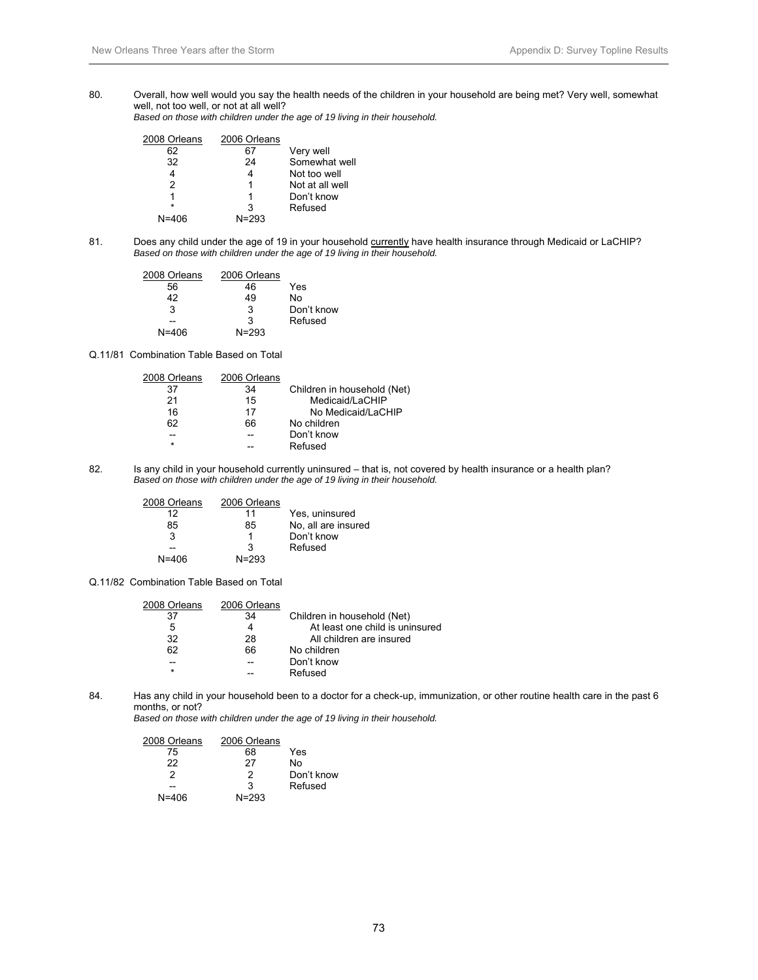80. Overall, how well would you say the health needs of the children in your household are being met? Very well, somewhat well, not too well, or not at all well?

*Based on those with children under the age of 19 living in their household.* 

| 2008 Orleans | 2006 Orleans |                 |
|--------------|--------------|-----------------|
| 62           |              | Very well       |
| 32           | 24           | Somewhat well   |
|              | 4            | Not too well    |
| 2            | 1            | Not at all well |
|              | 1            | Don't know      |
| $\star$      | 3            | Refused         |
| N=406        | $N = 293$    |                 |

81. Does any child under the age of 19 in your household currently have health insurance through Medicaid or LaCHIP? *Based on those with children under the age of 19 living in their household.* 

| 2008 Orleans | 2006 Orleans |            |
|--------------|--------------|------------|
| 56           | 46           | Yes        |
| 42           | 49           | N٥         |
| 3            | 3            | Don't know |
|              | 3            | Refused    |
| $N = 406$    | $N = 293$    |            |

Q.11/81 Combination Table Based on Total

| 2008 Orleans | 2006 Orleans |                             |
|--------------|--------------|-----------------------------|
| 37           | 34           | Children in household (Net) |
| 21           | 15           | Medicaid/LaCHIP             |
| 16           | 17           | No Medicaid/LaCHIP          |
| 62           | 66           | No children                 |
| --           |              | Don't know                  |
| $\star$      |              | Refused                     |
|              |              |                             |

82. Is any child in your household currently uninsured – that is, not covered by health insurance or a health plan? *Based on those with children under the age of 19 living in their household.* 

| 2008 Orleans | 2006 Orleans |                     |
|--------------|--------------|---------------------|
| 12           | 11           | Yes, uninsured      |
| 85           | 85           | No, all are insured |
| З            | 1            | Don't know          |
|              | З            | Refused             |
| $N = 406$    | $N = 293$    |                     |

Q.11/82 Combination Table Based on Total

| 2008 Orleans | 2006 Orleans |                                 |
|--------------|--------------|---------------------------------|
| 37           | 34           | Children in household (Net)     |
| 5            |              | At least one child is uninsured |
| 32           | 28           | All children are insured        |
| 62           | 66           | No children                     |
| --           |              | Don't know                      |
| $\star$      |              | Refused                         |
|              |              |                                 |

84. Has any child in your household been to a doctor for a check-up, immunization, or other routine health care in the past 6 months, or not?

*Based on those with children under the age of 19 living in their household.* 

| 2008 Orleans | 2006 Orleans |            |
|--------------|--------------|------------|
| 75           | 68           | Yes        |
| 22           | 27           | N٥         |
| 2            | 2            | Don't know |
|              | 3            | Refused    |
| N=406        | $N = 293$    |            |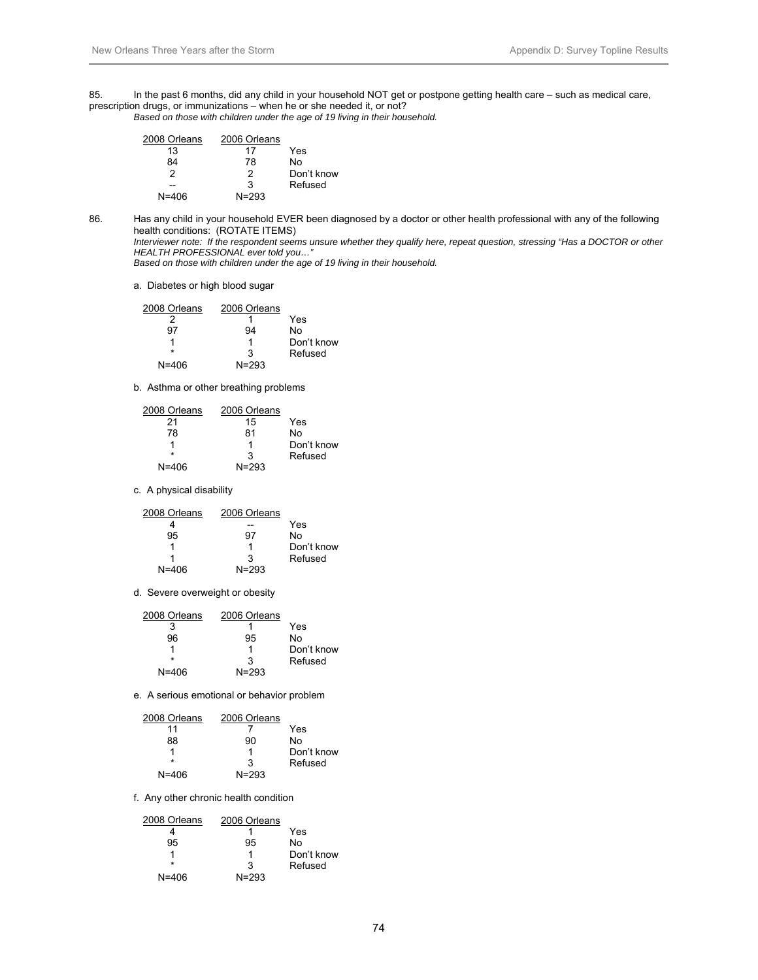85. In the past 6 months, did any child in your household NOT get or postpone getting health care – such as medical care, prescription drugs, or immunizations – when he or she needed it, or not? *Based on those with children under the age of 19 living in their household.* 

| 2008 Orleans | 2006 Orleans |            |
|--------------|--------------|------------|
| 13           | 17           | Yes        |
| 84           | 78           | N٥         |
| 2            | 2            | Don't know |
|              | 3            | Refused    |
| N=406        | $N = 293$    |            |

86. Has any child in your household EVER been diagnosed by a doctor or other health professional with any of the following health conditions: (ROTATE ITEMS)

 *Interviewer note: If the respondent seems unsure whether they qualify here, repeat question, stressing "Has a DOCTOR or other HEALTH PROFESSIONAL ever told you…"* 

*Based on those with children under the age of 19 living in their household.* 

a. Diabetes or high blood sugar

| 2008 Orleans | 2006 Orleans |            |
|--------------|--------------|------------|
|              |              | Yes        |
| 97           | 94           | N٥         |
|              |              | Don't know |
| ÷            | 3            | Refused    |
| $N = 406$    | $N = 293$    |            |

b. Asthma or other breathing problems

| 2008 Orleans | 2006 Orleans |            |
|--------------|--------------|------------|
| 21           | 15           | Yes        |
| 78           | 81           | No         |
|              |              | Don't know |
| $\star$      | з            | Refused    |
| $N = 406$    | $N = 293$    |            |

c. A physical disability

| 2008 Orleans | 2006 Orleans |            |
|--------------|--------------|------------|
|              |              | Yes        |
| 95           | 97           | No         |
|              |              | Don't know |
|              | з            | Refused    |
| N=406        | $N = 293$    |            |

d. Severe overweight or obesity

| 2008 Orleans | 2006 Orleans |            |
|--------------|--------------|------------|
| 3            |              | Yes        |
| 96           | 95           | N٥         |
|              |              | Don't know |
| $\star$      | З            | Refused    |
| $N = 406$    | $N = 293$    |            |

e. A serious emotional or behavior problem

| 2008 Orleans | 2006 Orleans |            |
|--------------|--------------|------------|
| 11           |              | Yes        |
| 88           | 90           | N٥         |
|              |              | Don't know |
| ÷            | З            | Refused    |
| $N = 406$    | $N = 293$    |            |

f. Any other chronic health condition

| 2008 Orleans | 2006 Orleans |            |
|--------------|--------------|------------|
|              |              | Yes        |
| 95           | 95           | N٥         |
|              |              | Don't know |
| ÷            | З            | Refused    |
| N=406        | $N = 293$    |            |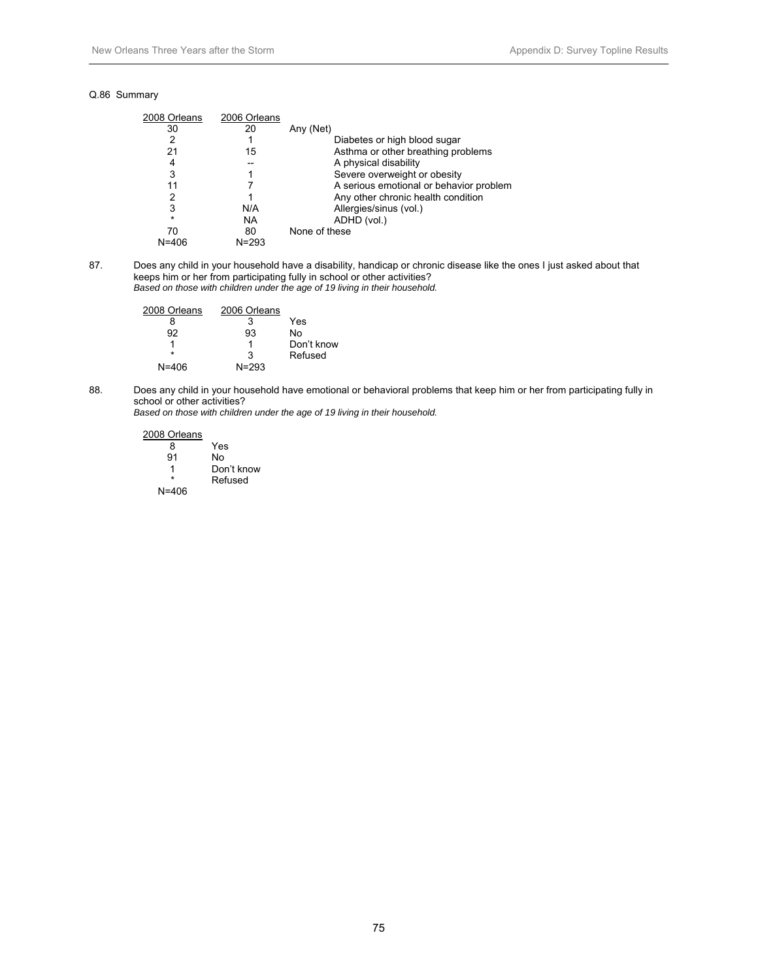#### Q.86 Summary

| 2008 Orleans | 2006 Orleans |                                         |
|--------------|--------------|-----------------------------------------|
| 30           | 20           | Any (Net)                               |
| 2            |              | Diabetes or high blood sugar            |
| 21           | 15           | Asthma or other breathing problems      |
| 4            |              | A physical disability                   |
| 3            |              | Severe overweight or obesity            |
| 11           |              | A serious emotional or behavior problem |
| 2            |              | Any other chronic health condition      |
| 3            | N/A          | Allergies/sinus (vol.)                  |
| $\star$      | NA           | ADHD (vol.)                             |
| 70           | 80           | None of these                           |
| $N = 406$    | $N = 293$    |                                         |

87. Does any child in your household have a disability, handicap or chronic disease like the ones I just asked about that keeps him or her from participating fully in school or other activities? *Based on those with children under the age of 19 living in their household.* 

| 2008 Orleans | 2006 Orleans |            |
|--------------|--------------|------------|
|              | 3            | Yes        |
| 92           | 93           | N٥         |
|              |              | Don't know |
|              | з            | Refused    |
| N=406        | $N = 293$    |            |

88. Does any child in your household have emotional or behavioral problems that keep him or her from participating fully in school or other activities?

*Based on those with children under the age of 19 living in their household.* 

2008 Orleans 8 Yes<br>91 No No. 1 Don't know **Refused** N=406

75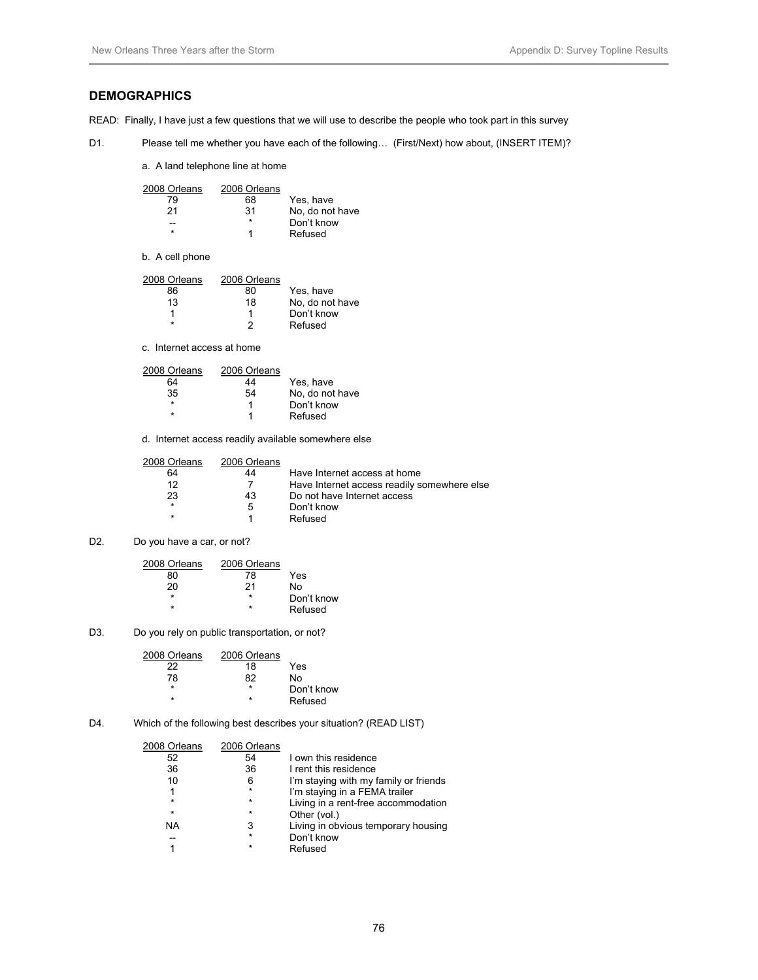# **DEMOGRAPHICS**

READ: Finally, I have just a few questions that we will use to describe the people who took part in this survey

D1. Please tell me whether you have each of the following... (First/Next) how about, (INSERT ITEM)?

a. A land telephone line at home

| 2008 Orleans | 2006 Orleans |                 |
|--------------|--------------|-----------------|
| 79           | 68           | Yes, have       |
| 21           | 31           | No, do not have |
|              | $\star$      | Don't know      |
| ÷            |              | Refused         |

b. A cell phone

| 2008 Orleans | 2006 Orleans |                 |
|--------------|--------------|-----------------|
| 86           | 80           | Yes, have       |
| 13           | 18           | No, do not have |
|              |              | Don't know      |
| ÷            |              | Refused         |

c. Internet access at home

| 2008 Orleans | 2006 Orleans |                 |
|--------------|--------------|-----------------|
| 64           | 44           | Yes, have       |
| 35           | 54           | No, do not have |
| $\star$      |              | Don't know      |
| ÷            |              | Refused         |

d. Internet access readily available somewhere else

| 2008 Orleans | 2006 Orleans |                                             |
|--------------|--------------|---------------------------------------------|
| 64           | 44           | Have Internet access at home                |
| 12           |              | Have Internet access readily somewhere else |
| 23           | 43           | Do not have Internet access                 |
| $\star$      | 5            | Don't know                                  |
| $\star$      |              | Refused                                     |
|              |              |                                             |

### D2. Do you have a car, or not?

| 2008 Orleans | 2006 Orleans |            |
|--------------|--------------|------------|
| 80           | 78           | Yes        |
| 20           | 21           | N٥         |
|              | ÷            | Don't know |
| ÷            | ÷            | Refused    |

D3. Do you rely on public transportation, or not?

| 2006 Orleans |            |
|--------------|------------|
| 18           | Yes        |
| 82           | N٥         |
| ÷            | Don't know |
| *            | Refused    |
|              |            |

D4. Which of the following best describes your situation? (READ LIST)

| 2008 Orleans | 2006 Orleans |                                       |
|--------------|--------------|---------------------------------------|
| 52           | 54           | I own this residence                  |
| 36           | 36           | I rent this residence                 |
| 10           | 6            | I'm staying with my family or friends |
| 1            | $\star$      | I'm staying in a FEMA trailer         |
| $\star$      | $\star$      | Living in a rent-free accommodation   |
| $\star$      | $\star$      | Other (vol.)                          |
| <b>NA</b>    | 3            | Living in obvious temporary housing   |
|              | $\star$      | Don't know                            |
|              | $\star$      | Refused                               |
|              |              |                                       |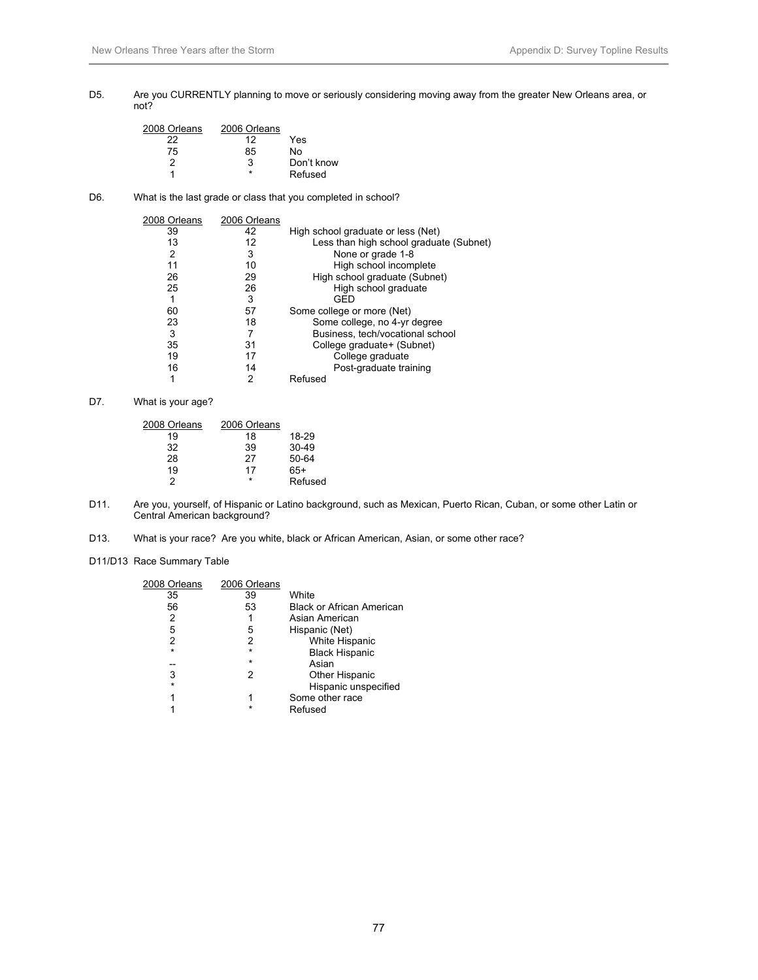#### D5. Are you CURRENTLY planning to move or seriously considering moving away from the greater New Orleans area, or not?

| 2008 Orleans | 2006 Orleans |            |
|--------------|--------------|------------|
| 22           | 12           | Yes        |
| 75           | 85           | N٥         |
| 2            | З            | Don't know |
|              |              | Refused    |

# D6. What is the last grade or class that you completed in school?

| 2008 Orleans | 2006 Orleans |                                         |
|--------------|--------------|-----------------------------------------|
| 39           | 42           | High school graduate or less (Net)      |
| 13           | 12           | Less than high school graduate (Subnet) |
| 2            | 3            | None or grade 1-8                       |
| 11           | 10           | High school incomplete                  |
| 26           | 29           | High school graduate (Subnet)           |
| 25           | 26           | High school graduate                    |
|              | 3            | GED                                     |
| 60           | 57           | Some college or more (Net)              |
| 23           | 18           | Some college, no 4-yr degree            |
| 3            |              | Business, tech/vocational school        |
| 35           | 31           | College graduate+ (Subnet)              |
| 19           | 17           | College graduate                        |
| 16           | 14           | Post-graduate training                  |
|              | 2            | Refused                                 |

# D7. What is your age?

| 2008 Orleans | 2006 Orleans |         |
|--------------|--------------|---------|
| 19           | 18           | 18-29   |
| 32           | 39           | $30-49$ |
| 28           | 27           | 50-64   |
| 19           | 17           | 65+     |
| 2            | ÷            | Refused |

- D11. Are you, yourself, of Hispanic or Latino background, such as Mexican, Puerto Rican, Cuban, or some other Latin or Central American background?
- D13. What is your race? Are you white, black or African American, Asian, or some other race?

#### D11/D13 Race Summary Table

| 2008 Orleans | 2006 Orleans |                                  |
|--------------|--------------|----------------------------------|
| 35           | 39           | White                            |
| 56           | 53           | <b>Black or African American</b> |
| 2            |              | Asian American                   |
| 5            | 5            | Hispanic (Net)                   |
| 2            | 2            | White Hispanic                   |
| $\star$      | $\star$      | <b>Black Hispanic</b>            |
|              | $\star$      | Asian                            |
| 3            | 2            | <b>Other Hispanic</b>            |
| $\star$      |              | Hispanic unspecified             |
| 1            | 1            | Some other race                  |
|              | $\star$      | Refused                          |